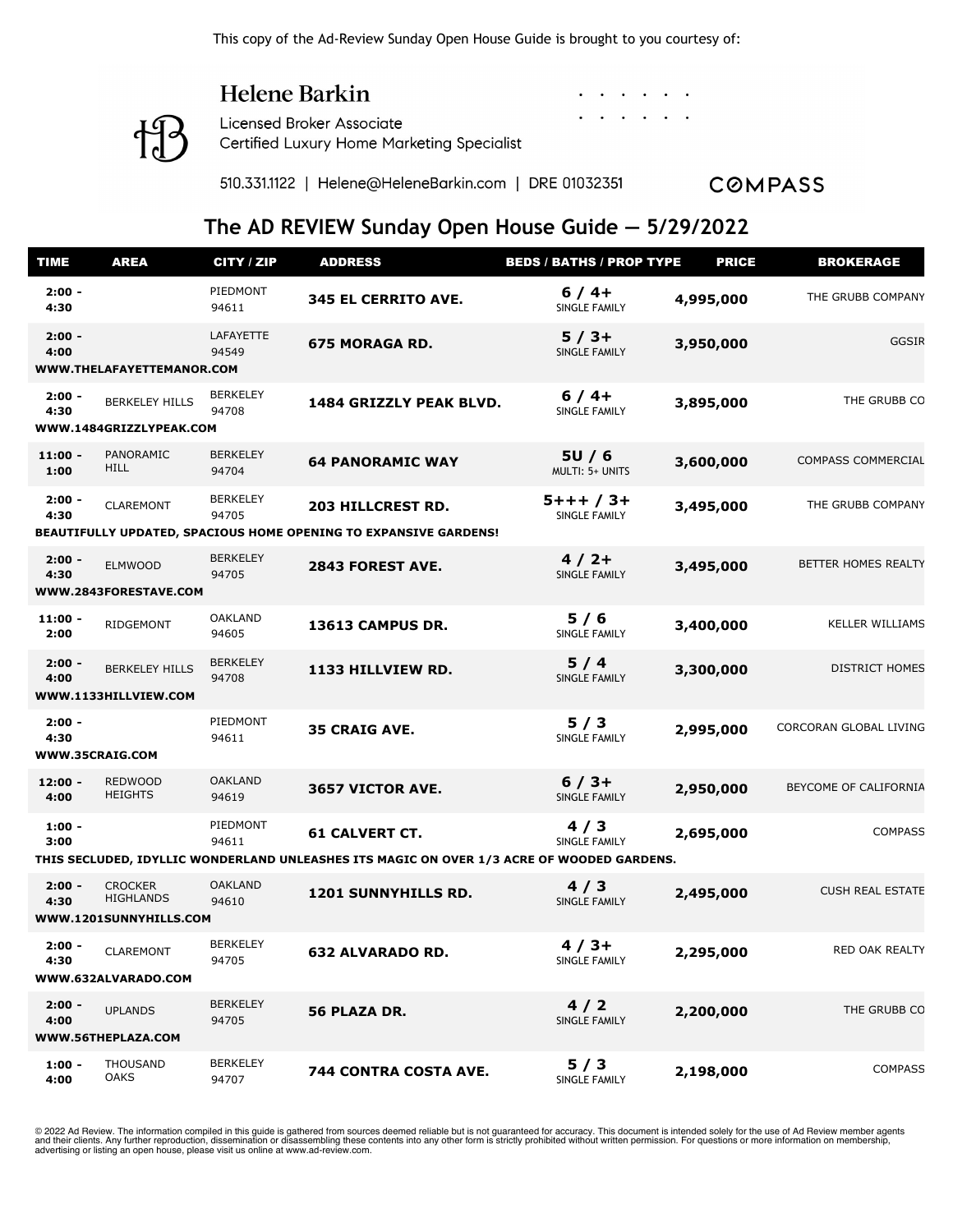This copy of the Ad-Review Sunday Open House Guide is brought to you courtesy of:

#### Helene Barkin

**Licensed Broker Associate** Certified Luxury Home Marketing Specialist

510.331.1122 | Helene@HeleneBarkin.com | DRE 01032351

**COMPASS** 

#### **The AD REVIEW Sunday Open House Guide — 5/29/2022**

| <b>TIME</b>       | <b>AREA</b>                        | CITY / ZIP               | <b>ADDRESS</b>                                                                            | <b>BEDS / BATHS / PROP TYPE</b>  | <b>PRICE</b> | <b>BROKERAGE</b>          |
|-------------------|------------------------------------|--------------------------|-------------------------------------------------------------------------------------------|----------------------------------|--------------|---------------------------|
| $2:00 -$<br>4:30  |                                    | PIEDMONT<br>94611        | 345 EL CERRITO AVE.                                                                       | $6/4+$<br>SINGLE FAMILY          | 4,995,000    | THE GRUBB COMPANY         |
| $2:00 -$<br>4:00  | WWW.THELAFAYETTEMANOR.COM          | LAFAYETTE<br>94549       | <b>675 MORAGA RD.</b>                                                                     | $5/3+$<br>SINGLE FAMILY          | 3,950,000    | <b>GGSIR</b>              |
| $2:00 -$          |                                    | <b>BERKELEY</b>          |                                                                                           | $6/4+$                           |              |                           |
| 4:30              | <b>BERKELEY HILLS</b>              | 94708                    | 1484 GRIZZLY PEAK BLVD.                                                                   | SINGLE FAMILY                    | 3,895,000    | THE GRUBB CO              |
|                   | WWW.1484GRIZZLYPEAK.COM            |                          |                                                                                           |                                  |              |                           |
| $11:00 -$<br>1:00 | PANORAMIC<br><b>HILL</b>           | <b>BERKELEY</b><br>94704 | <b>64 PANORAMIC WAY</b>                                                                   | 5U/6<br>MULTI: 5+ UNITS          | 3,600,000    | <b>COMPASS COMMERCIAL</b> |
| $2:00 -$<br>4:30  | CLAREMONT                          | <b>BERKELEY</b><br>94705 | <b>203 HILLCREST RD.</b>                                                                  | $5 + + + / 3 +$<br>SINGLE FAMILY | 3,495,000    | THE GRUBB COMPANY         |
|                   |                                    |                          | BEAUTIFULLY UPDATED, SPACIOUS HOME OPENING TO EXPANSIVE GARDENS!                          |                                  |              |                           |
| $2:00 -$<br>4:30  | <b>ELMWOOD</b>                     | <b>BERKELEY</b><br>94705 | 2843 FOREST AVE.                                                                          | $4/2+$<br>SINGLE FAMILY          | 3,495,000    | BETTER HOMES REALTY       |
|                   | WWW.2843FORESTAVE.COM              |                          |                                                                                           |                                  |              |                           |
| $11:00 -$<br>2:00 | RIDGEMONT                          | <b>OAKLAND</b><br>94605  | 13613 CAMPUS DR.                                                                          | 5/6<br>SINGLE FAMILY             | 3,400,000    | <b>KELLER WILLIAMS</b>    |
| $2:00 -$<br>4:00  | <b>BERKELEY HILLS</b>              | <b>BERKELEY</b><br>94708 | 1133 HILLVIEW RD.                                                                         | 5/4<br>SINGLE FAMILY             | 3,300,000    | DISTRICT HOMES            |
|                   | WWW.1133HILLVIEW.COM               |                          |                                                                                           |                                  |              |                           |
| $2:00 -$<br>4:30  | WWW.35CRAIG.COM                    | PIEDMONT<br>94611        | <b>35 CRAIG AVE.</b>                                                                      | 5/3<br>SINGLE FAMILY             | 2,995,000    | CORCORAN GLOBAL LIVING    |
| 12:00 -<br>4:00   | <b>REDWOOD</b><br><b>HEIGHTS</b>   | <b>OAKLAND</b><br>94619  | 3657 VICTOR AVE.                                                                          | $6/3+$<br><b>SINGLE FAMILY</b>   | 2,950,000    | BEYCOME OF CALIFORNIA     |
| $1:00 -$<br>3:00  |                                    | PIEDMONT<br>94611        | <b>61 CALVERT CT.</b>                                                                     | 4/3<br>SINGLE FAMILY             | 2,695,000    | <b>COMPASS</b>            |
|                   |                                    |                          | THIS SECLUDED, IDYLLIC WONDERLAND UNLEASHES ITS MAGIC ON OVER 1/3 ACRE OF WOODED GARDENS. |                                  |              |                           |
| $2:00 -$<br>4:30  | <b>CROCKER</b><br><b>HIGHLANDS</b> | <b>OAKLAND</b><br>94610  | 1201 SUNNYHILLS RD.                                                                       | 4/3<br>SINGLE FAMILY             | 2,495,000    | <b>CUSH REAL ESTATE</b>   |
|                   | WWW.1201SUNNYHILLS.COM             |                          |                                                                                           |                                  |              |                           |
| $2:00 -$<br>4:30  | <b>CLAREMONT</b>                   | <b>BERKELEY</b><br>94705 | <b>632 ALVARADO RD.</b>                                                                   | $4/3+$<br>SINGLE FAMILY          | 2,295,000    | RED OAK REALTY            |
|                   | WWW.632ALVARADO.COM                |                          |                                                                                           |                                  |              |                           |
| $2:00 -$<br>4:00  | <b>UPLANDS</b>                     | <b>BERKELEY</b><br>94705 | 56 PLAZA DR.                                                                              | 4/2<br>SINGLE FAMILY             | 2,200,000    | THE GRUBB CO              |
|                   | WWW.56THEPLAZA.COM                 |                          |                                                                                           |                                  |              |                           |
| $1:00 -$<br>4:00  | <b>THOUSAND</b><br>OAKS            | <b>BERKELEY</b><br>94707 | 744 CONTRA COSTA AVE.                                                                     | 5/3<br>SINGLE FAMILY             | 2,198,000    | <b>COMPASS</b>            |

© 2022 Ad Review. The information compiled in this guide is gathered from sources deemed reliable but is not guaranteed for accuracy. This document is intended solely for the use of Ad Review member agents and their clients. Any further reproduction, dissemination or disassembling these contents into any other form is strictly prohibited without written permission. For questions or more information on membership, advertising or listing an open house, please visit us online at www.ad-review.com.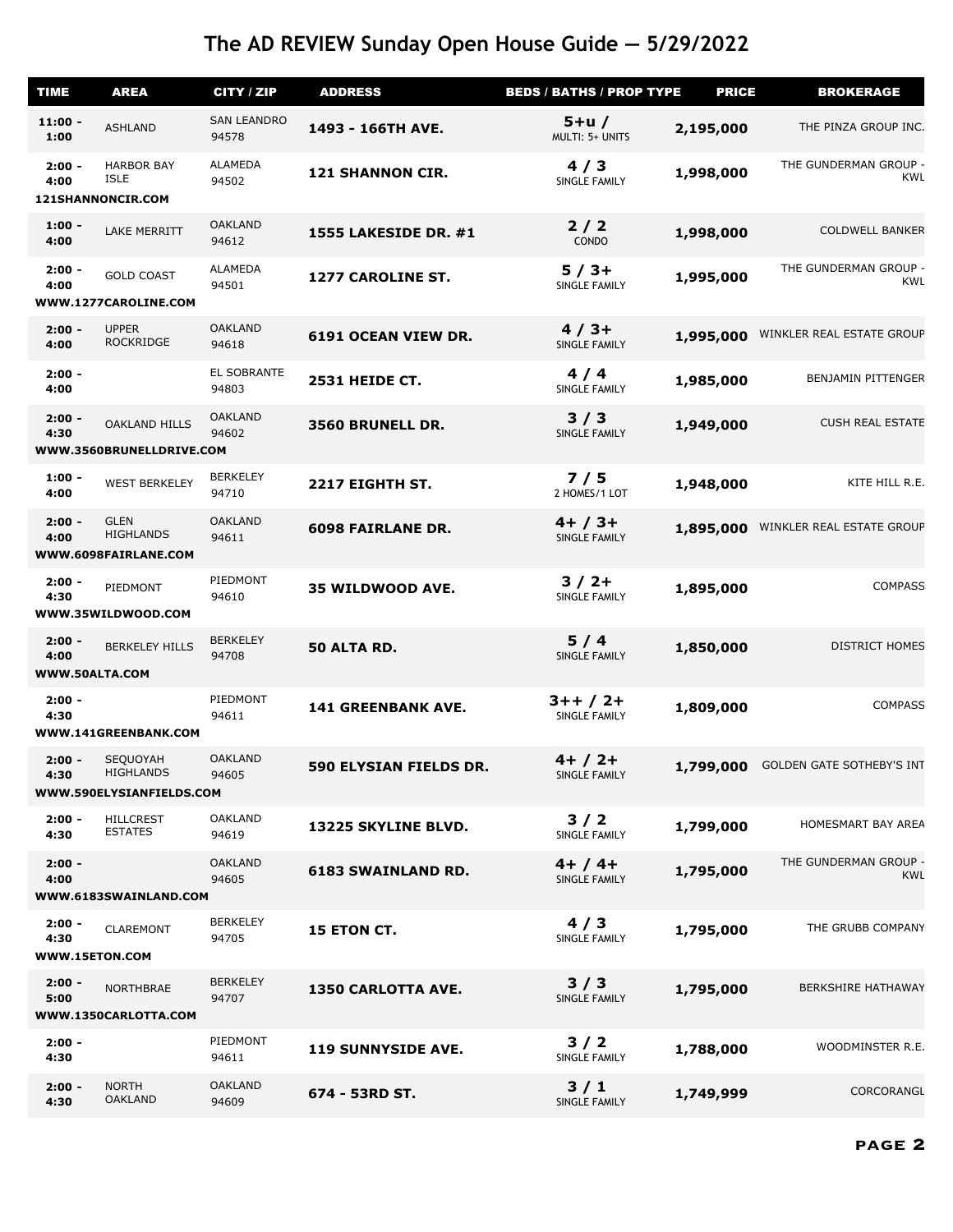| <b>TIME</b>                        | <b>AREA</b>                                              | CITY / ZIP                  | <b>ADDRESS</b>            | <b>BEDS / BATHS / PROP TYPE</b>  | <b>PRICE</b> | <b>BROKERAGE</b>                    |
|------------------------------------|----------------------------------------------------------|-----------------------------|---------------------------|----------------------------------|--------------|-------------------------------------|
| $11:00 -$<br>1:00                  | <b>ASHLAND</b>                                           | <b>SAN LEANDRO</b><br>94578 | 1493 - 166TH AVE.         | $5+u/$<br>MULTI: 5+ UNITS        | 2,195,000    | THE PINZA GROUP INC.                |
| $2:00 -$<br>4:00                   | <b>HARBOR BAY</b><br><b>ISLE</b><br>121SHANNONCIR.COM    | <b>ALAMEDA</b><br>94502     | <b>121 SHANNON CIR.</b>   | 4/3<br>SINGLE FAMILY             | 1,998,000    | THE GUNDERMAN GROUP -<br>KWL        |
| $1:00 -$<br>4:00                   | LAKE MERRITT                                             | <b>OAKLAND</b><br>94612     | 1555 LAKESIDE DR. #1      | $2/2$<br>CONDO                   | 1,998,000    | <b>COLDWELL BANKER</b>              |
| $2:00 -$<br>4:00                   | <b>GOLD COAST</b><br>WWW.1277CAROLINE.COM                | <b>ALAMEDA</b><br>94501     | 1277 CAROLINE ST.         | $5/3+$<br>SINGLE FAMILY          | 1,995,000    | THE GUNDERMAN GROUP -<br>KWL        |
| $2:00 -$<br>4:00                   | <b>UPPER</b><br><b>ROCKRIDGE</b>                         | <b>OAKLAND</b><br>94618     | 6191 OCEAN VIEW DR.       | $4/3+$<br>SINGLE FAMILY          | 1,995,000    | WINKLER REAL ESTATE GROUP           |
| $2:00 -$<br>4:00                   |                                                          | EL SOBRANTE<br>94803        | <b>2531 HEIDE CT.</b>     | 4/4<br>SINGLE FAMILY             | 1,985,000    | <b>BENJAMIN PITTENGER</b>           |
| $2:00 -$<br>4:30                   | <b>OAKLAND HILLS</b><br>WWW.3560BRUNELLDRIVE.COM         | <b>OAKLAND</b><br>94602     | 3560 BRUNELL DR.          | 3/3<br>SINGLE FAMILY             | 1,949,000    | <b>CUSH REAL ESTATE</b>             |
| $1:00 -$<br>4:00                   | <b>WEST BERKELEY</b>                                     | <b>BERKELEY</b><br>94710    | 2217 EIGHTH ST.           | 7/5<br>2 HOMES/1 LOT             | 1,948,000    | KITE HILL R.E.                      |
| $2:00 -$<br>4:00                   | <b>GLEN</b><br><b>HIGHLANDS</b><br>WWW.6098FAIRLANE.COM  | <b>OAKLAND</b><br>94611     | <b>6098 FAIRLANE DR.</b>  | $4+ / 3+$<br>SINGLE FAMILY       | 1,895,000    | WINKLER REAL ESTATE GROUP           |
| $2:00 -$<br>4:30                   | PIEDMONT<br>WWW.35WILDWOOD.COM                           | PIEDMONT<br>94610           | 35 WILDWOOD AVE.          | $3/2+$<br>SINGLE FAMILY          | 1,895,000    | <b>COMPASS</b>                      |
| $2:00 -$<br>4:00<br>WWW.50ALTA.COM | <b>BERKELEY HILLS</b>                                    | <b>BERKELEY</b><br>94708    | 50 ALTA RD.               | 5/4<br>SINGLE FAMILY             | 1,850,000    | <b>DISTRICT HOMES</b>               |
| $2:00 -$<br>4:30                   | WWW.141GREENBANK.COM                                     | PIEDMONT<br>94611           | <b>141 GREENBANK AVE.</b> | $3++/2+$<br><b>SINGLE FAMILY</b> | 1,809,000    | <b>COMPASS</b>                      |
| $2:00 -$<br>4:30                   | SEQUOYAH<br><b>HIGHLANDS</b><br>WWW.590ELYSIANFIELDS.COM | <b>OAKLAND</b><br>94605     | 590 ELYSIAN FIELDS DR.    | $4+ / 2+$<br>SINGLE FAMILY       | 1,799,000    | <b>GOLDEN GATE SOTHEBY'S INT</b>    |
| $2:00 -$<br>4:30                   | <b>HILLCREST</b><br><b>ESTATES</b>                       | <b>OAKLAND</b><br>94619     | 13225 SKYLINE BLVD.       | $3/2$<br>SINGLE FAMILY           | 1,799,000    | HOMESMART BAY AREA                  |
| $2:00 -$<br>4:00                   | WWW.6183SWAINLAND.COM                                    | <b>OAKLAND</b><br>94605     | <b>6183 SWAINLAND RD.</b> | $4+ / 4+$<br>SINGLE FAMILY       | 1,795,000    | THE GUNDERMAN GROUP -<br><b>KWL</b> |
| $2:00 -$<br>4:30                   | <b>CLAREMONT</b><br>WWW.15ETON.COM                       | <b>BERKELEY</b><br>94705    | 15 ETON CT.               | 4/3<br>SINGLE FAMILY             | 1,795,000    | THE GRUBB COMPANY                   |
| $2:00 -$<br>5:00                   | <b>NORTHBRAE</b><br>WWW.1350CARLOTTA.COM                 | <b>BERKELEY</b><br>94707    | <b>1350 CARLOTTA AVE.</b> | 3/3<br>SINGLE FAMILY             | 1,795,000    | <b>BERKSHIRE HATHAWAY</b>           |
| $2:00 -$<br>4:30                   |                                                          | PIEDMONT<br>94611           | <b>119 SUNNYSIDE AVE.</b> | 3/2<br>SINGLE FAMILY             | 1,788,000    | WOODMINSTER R.E.                    |
| $2:00 -$<br>4:30                   | <b>NORTH</b><br><b>OAKLAND</b>                           | <b>OAKLAND</b><br>94609     | 674 - 53RD ST.            | 3/1<br>SINGLE FAMILY             | 1,749,999    | CORCORANGL                          |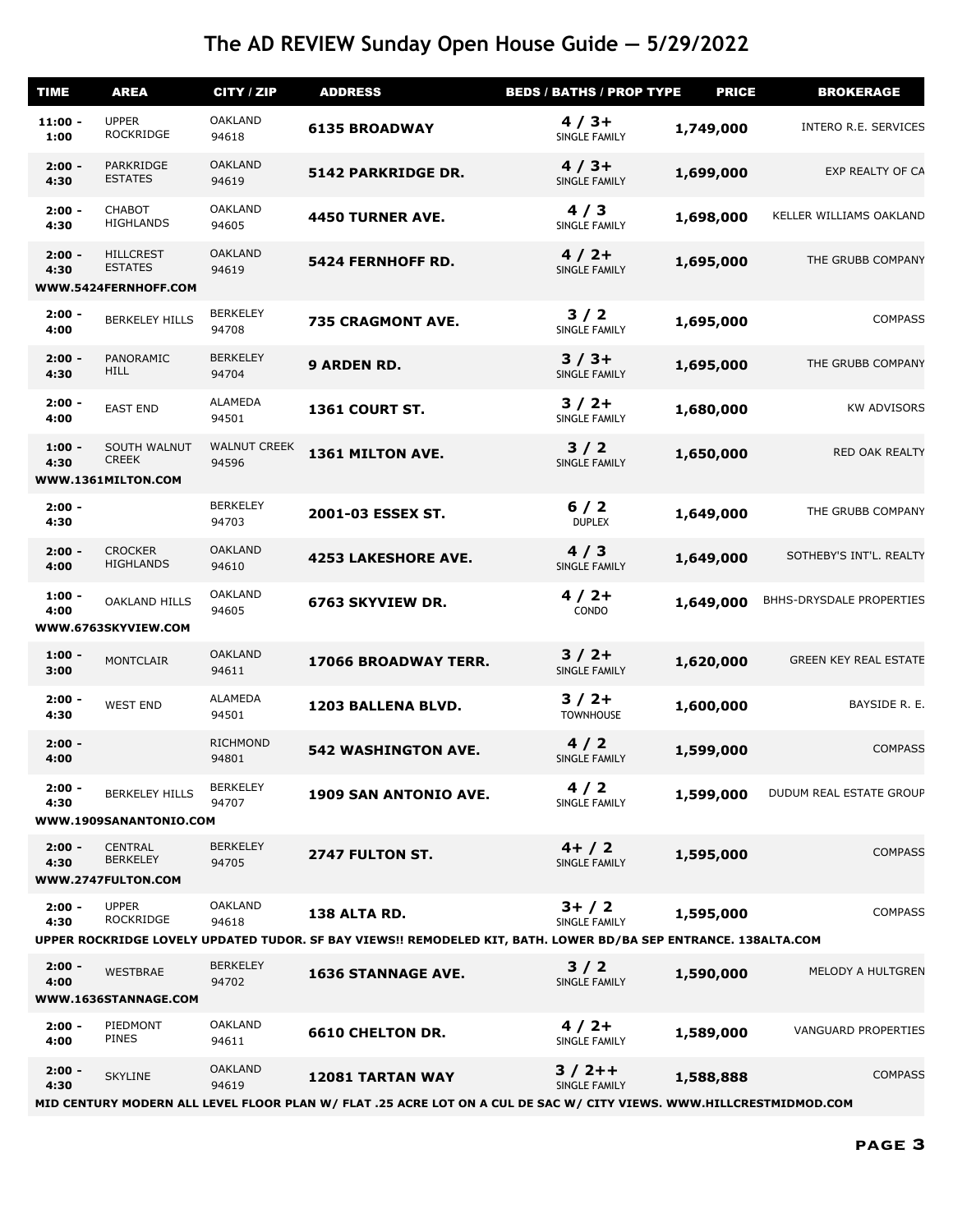| <b>TIME</b>       | <b>AREA</b>                                                | CITY / ZIP                   | <b>ADDRESS</b>                                                                                                                                 | <b>BEDS / BATHS / PROP TYPE</b> | <b>PRICE</b> | <b>BROKERAGE</b>             |
|-------------------|------------------------------------------------------------|------------------------------|------------------------------------------------------------------------------------------------------------------------------------------------|---------------------------------|--------------|------------------------------|
| $11:00 -$<br>1:00 | <b>UPPER</b><br><b>ROCKRIDGE</b>                           | <b>OAKLAND</b><br>94618      | <b>6135 BROADWAY</b>                                                                                                                           | $4/3+$<br>SINGLE FAMILY         | 1,749,000    | INTERO R.E. SERVICES         |
| $2:00 -$<br>4:30  | PARKRIDGE<br><b>ESTATES</b>                                | <b>OAKLAND</b><br>94619      | 5142 PARKRIDGE DR.                                                                                                                             | $4/3+$<br><b>SINGLE FAMILY</b>  | 1,699,000    | EXP REALTY OF CA             |
| $2:00 -$<br>4:30  | <b>CHABOT</b><br><b>HIGHLANDS</b>                          | <b>OAKLAND</b><br>94605      | <b>4450 TURNER AVE.</b>                                                                                                                        | 4/3<br>SINGLE FAMILY            | 1,698,000    | KELLER WILLIAMS OAKLAND      |
| $2:00 -$<br>4:30  | <b>HILLCREST</b><br><b>ESTATES</b><br>WWW.5424FERNHOFF.COM | <b>OAKLAND</b><br>94619      | <b>5424 FERNHOFF RD.</b>                                                                                                                       | $4/2+$<br>SINGLE FAMILY         | 1,695,000    | THE GRUBB COMPANY            |
| $2:00 -$<br>4:00  | <b>BERKELEY HILLS</b>                                      | <b>BERKELEY</b><br>94708     | 735 CRAGMONT AVE.                                                                                                                              | 3/2<br>SINGLE FAMILY            | 1,695,000    | <b>COMPASS</b>               |
| $2:00 -$<br>4:30  | PANORAMIC<br><b>HILL</b>                                   | <b>BERKELEY</b><br>94704     | <b>9 ARDEN RD.</b>                                                                                                                             | $3/3+$<br>SINGLE FAMILY         | 1,695,000    | THE GRUBB COMPANY            |
| $2:00 -$<br>4:00  | <b>EAST END</b>                                            | ALAMEDA<br>94501             | 1361 COURT ST.                                                                                                                                 | $3/2+$<br>SINGLE FAMILY         | 1,680,000    | <b>KW ADVISORS</b>           |
| $1:00 -$<br>4:30  | SOUTH WALNUT<br><b>CREEK</b><br>WWW.1361MILTON.COM         | <b>WALNUT CREEK</b><br>94596 | 1361 MILTON AVE.                                                                                                                               | $3/2$<br>SINGLE FAMILY          | 1,650,000    | RED OAK REALTY               |
| $2:00 -$<br>4:30  |                                                            | <b>BERKELEY</b><br>94703     | 2001-03 ESSEX ST.                                                                                                                              | 6/2<br><b>DUPLEX</b>            | 1,649,000    | THE GRUBB COMPANY            |
| $2:00 -$<br>4:00  | <b>CROCKER</b><br><b>HIGHLANDS</b>                         | <b>OAKLAND</b><br>94610      | <b>4253 LAKESHORE AVE.</b>                                                                                                                     | 4/3<br>SINGLE FAMILY            | 1,649,000    | SOTHEBY'S INT'L. REALTY      |
| $1:00 -$<br>4:00  | <b>OAKLAND HILLS</b><br>WWW.6763SKYVIEW.COM                | <b>OAKLAND</b><br>94605      | 6763 SKYVIEW DR.                                                                                                                               | $4/2+$<br>CONDO                 | 1,649,000    | BHHS-DRYSDALE PROPERTIES     |
| $1:00 -$<br>3:00  | <b>MONTCLAIR</b>                                           | <b>OAKLAND</b><br>94611      | <b>17066 BROADWAY TERR.</b>                                                                                                                    | $3/2+$<br><b>SINGLE FAMILY</b>  | 1,620,000    | <b>GREEN KEY REAL ESTATE</b> |
| $2:00 -$<br>4:30  | <b>WEST END</b>                                            | <b>ALAMEDA</b><br>94501      | 1203 BALLENA BLVD.                                                                                                                             | $3/2+$<br><b>TOWNHOUSE</b>      | 1,600,000    | BAYSIDE R. E.                |
| $2:00 -$<br>4:00  |                                                            | <b>RICHMOND</b><br>94801     | <b>542 WASHINGTON AVE.</b>                                                                                                                     | 4/2<br>SINGLE FAMILY            | 1,599,000    | <b>COMPASS</b>               |
| $2:00 -$<br>4:30  | <b>BERKELEY HILLS</b>                                      | <b>BERKELEY</b><br>94707     | 1909 SAN ANTONIO AVE.                                                                                                                          | 4/2<br>SINGLE FAMILY            | 1,599,000    | DUDUM REAL ESTATE GROUP      |
|                   | WWW.1909SANANTONIO.COM                                     |                              |                                                                                                                                                |                                 |              |                              |
| $2:00 -$<br>4:30  | <b>CENTRAL</b><br><b>BERKELEY</b><br>WWW.2747FULTON.COM    | <b>BERKELEY</b><br>94705     | 2747 FULTON ST.                                                                                                                                | $4+ / 2$<br>SINGLE FAMILY       | 1,595,000    | <b>COMPASS</b>               |
| $2:00 -$<br>4:30  | <b>UPPER</b><br><b>ROCKRIDGE</b>                           | <b>OAKLAND</b><br>94618      | 138 ALTA RD.                                                                                                                                   | $3+ / 2$<br>SINGLE FAMILY       | 1,595,000    | <b>COMPASS</b>               |
|                   |                                                            |                              | UPPER ROCKRIDGE LOVELY UPDATED TUDOR. SF BAY VIEWS!! REMODELED KIT, BATH. LOWER BD/BA SEP ENTRANCE. 138ALTA.COM                                |                                 |              |                              |
| $2:00 -$<br>4:00  | <b>WESTBRAE</b><br>WWW.1636STANNAGE.COM                    | <b>BERKELEY</b><br>94702     | <b>1636 STANNAGE AVE.</b>                                                                                                                      | $3/2$<br><b>SINGLE FAMILY</b>   | 1,590,000    | MELODY A HULTGREN            |
| $2:00 -$<br>4:00  | PIEDMONT<br><b>PINES</b>                                   | <b>OAKLAND</b><br>94611      | <b>6610 CHELTON DR.</b>                                                                                                                        | $4/2+$<br>SINGLE FAMILY         | 1,589,000    | VANGUARD PROPERTIES          |
| $2:00 -$<br>4:30  | <b>SKYLINE</b>                                             | <b>OAKLAND</b><br>94619      | <b>12081 TARTAN WAY</b><br>MID CENTURY MODERN ALL LEVEL FLOOR PLAN W/ FLAT .25 ACRE LOT ON A CUL DE SAC W/ CITY VIEWS. WWW.HILLCRESTMIDMOD.COM | $3/2++$<br>SINGLE FAMILY        | 1,588,888    | <b>COMPASS</b>               |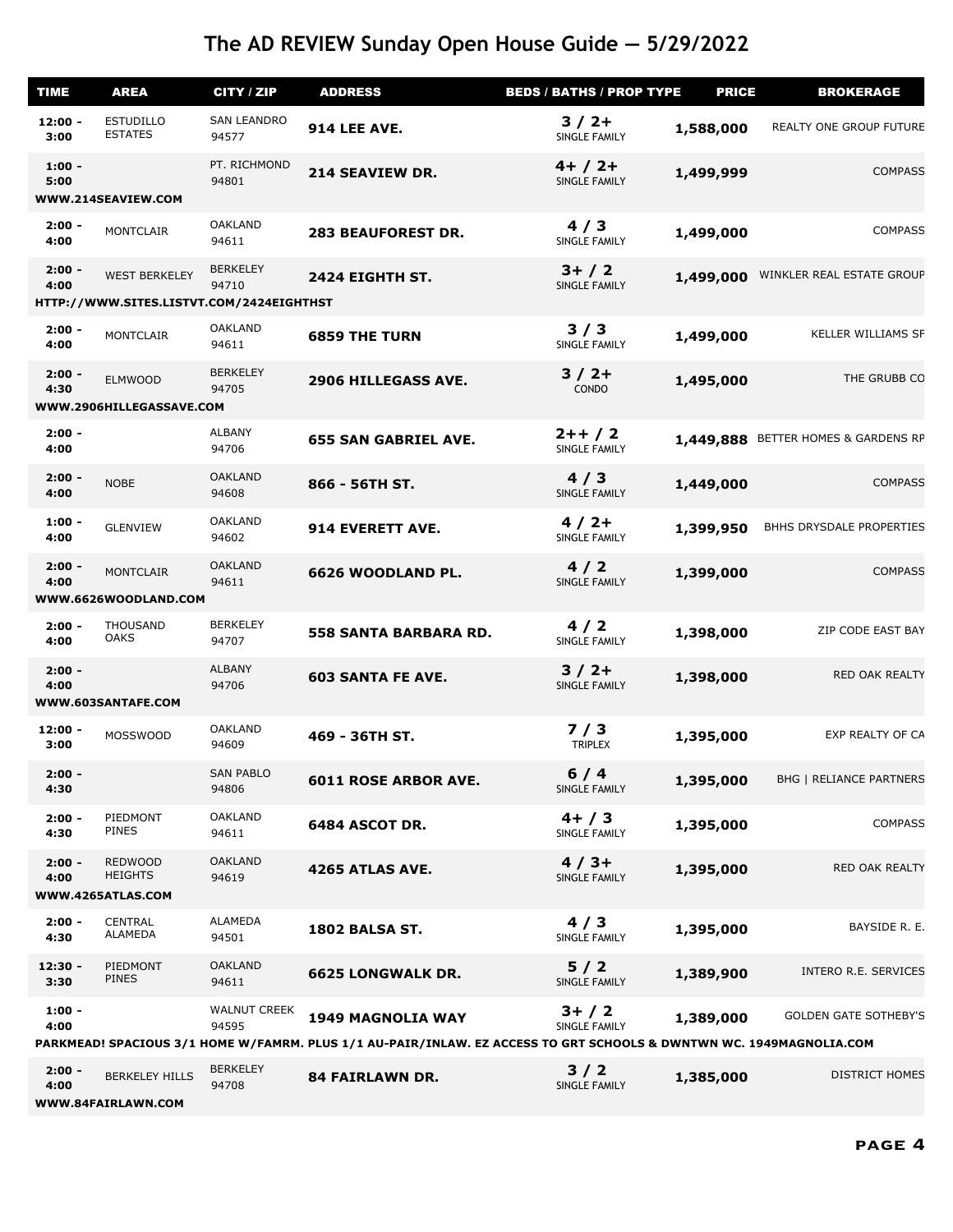| <b>TIME</b>       | <b>AREA</b>                                                      | CITY / ZIP                   | <b>ADDRESS</b>                                                                                                                           | <b>BEDS / BATHS / PROP TYPE</b> | <b>PRICE</b> | <b>BROKERAGE</b>               |
|-------------------|------------------------------------------------------------------|------------------------------|------------------------------------------------------------------------------------------------------------------------------------------|---------------------------------|--------------|--------------------------------|
| $12:00 -$<br>3:00 | <b>ESTUDILLO</b><br><b>ESTATES</b>                               | <b>SAN LEANDRO</b><br>94577  | <b>914 LEE AVE.</b>                                                                                                                      | $3/2+$<br><b>SINGLE FAMILY</b>  | 1,588,000    | REALTY ONE GROUP FUTURE        |
| $1:00 -$<br>5:00  | WWW.214SEAVIEW.COM                                               | PT. RICHMOND<br>94801        | 214 SEAVIEW DR.                                                                                                                          | $4+ / 2+$<br>SINGLE FAMILY      | 1,499,999    | <b>COMPASS</b>                 |
| $2:00 -$<br>4:00  | <b>MONTCLAIR</b>                                                 | <b>OAKLAND</b><br>94611      | <b>283 BEAUFOREST DR.</b>                                                                                                                | 4/3<br><b>SINGLE FAMILY</b>     | 1,499,000    | <b>COMPASS</b>                 |
| $2:00 -$<br>4:00  | <b>WEST BERKELEY</b><br>HTTP://WWW.SITES.LISTVT.COM/2424EIGHTHST | <b>BERKELEY</b><br>94710     | 2424 EIGHTH ST.                                                                                                                          | $3+ / 2$<br>SINGLE FAMILY       | 1,499,000    | WINKLER REAL ESTATE GROUP      |
|                   |                                                                  |                              |                                                                                                                                          |                                 |              |                                |
| $2:00 -$<br>4:00  | <b>MONTCLAIR</b>                                                 | <b>OAKLAND</b><br>94611      | <b>6859 THE TURN</b>                                                                                                                     | 3/3<br><b>SINGLE FAMILY</b>     | 1,499,000    | <b>KELLER WILLIAMS SF</b>      |
| $2:00 -$<br>4:30  | <b>ELMWOOD</b><br>WWW.2906HILLEGASSAVE.COM                       | <b>BERKELEY</b><br>94705     | 2906 HILLEGASS AVE.                                                                                                                      | $3/2+$<br>CONDO                 | 1,495,000    | THE GRUBB CO                   |
|                   |                                                                  |                              |                                                                                                                                          |                                 |              |                                |
| $2:00 -$<br>4:00  |                                                                  | <b>ALBANY</b><br>94706       | <b>655 SAN GABRIEL AVE.</b>                                                                                                              | $2++/2$<br>SINGLE FAMILY        | 1,449,888    | BETTER HOMES & GARDENS RP      |
| $2:00 -$<br>4:00  | <b>NOBE</b>                                                      | <b>OAKLAND</b><br>94608      | 866 - 56TH ST.                                                                                                                           | 4/3<br>SINGLE FAMILY            | 1,449,000    | <b>COMPASS</b>                 |
| $1:00 -$<br>4:00  | <b>GLENVIEW</b>                                                  | <b>OAKLAND</b><br>94602      | 914 EVERETT AVE.                                                                                                                         | $4/2+$<br>SINGLE FAMILY         | 1,399,950    | BHHS DRYSDALE PROPERTIES       |
| $2:00 -$<br>4:00  | <b>MONTCLAIR</b>                                                 | <b>OAKLAND</b><br>94611      | 6626 WOODLAND PL.                                                                                                                        | 4/2<br><b>SINGLE FAMILY</b>     | 1,399,000    | <b>COMPASS</b>                 |
|                   | WWW.6626WOODLAND.COM                                             |                              |                                                                                                                                          |                                 |              |                                |
| $2:00 -$<br>4:00  | <b>THOUSAND</b><br><b>OAKS</b>                                   | <b>BERKELEY</b><br>94707     | <b>558 SANTA BARBARA RD.</b>                                                                                                             | 4/2<br>SINGLE FAMILY            | 1,398,000    | ZIP CODE EAST BAY              |
| $2:00 -$<br>4:00  | WWW.603SANTAFE.COM                                               | <b>ALBANY</b><br>94706       | <b>603 SANTA FE AVE.</b>                                                                                                                 | $3/2+$<br><b>SINGLE FAMILY</b>  | 1,398,000    | RED OAK REALTY                 |
| $12:00 -$<br>3:00 | <b>MOSSWOOD</b>                                                  | <b>OAKLAND</b><br>94609      | 469 - 36TH ST.                                                                                                                           | 7/3<br><b>TRIPLEX</b>           | 1,395,000    | EXP REALTY OF CA               |
| $2:00 -$<br>4:30  |                                                                  | <b>SAN PABLO</b><br>94806    | <b>6011 ROSE ARBOR AVE.</b>                                                                                                              | $6/4$<br>SINGLE FAMILY          | 1,395,000    | <b>BHG   RELIANCE PARTNERS</b> |
| $2:00 -$<br>4:30  | PIEDMONT<br><b>PINES</b>                                         | <b>OAKLAND</b><br>94611      | 6484 ASCOT DR.                                                                                                                           | $4+ / 3$<br>SINGLE FAMILY       | 1,395,000    | <b>COMPASS</b>                 |
| $2:00 -$<br>4:00  | <b>REDWOOD</b><br><b>HEIGHTS</b><br>WWW.4265ATLAS.COM            | <b>OAKLAND</b><br>94619      | 4265 ATLAS AVE.                                                                                                                          | $4/3+$<br>SINGLE FAMILY         | 1,395,000    | RED OAK REALTY                 |
| $2:00 -$<br>4:30  | <b>CENTRAL</b><br><b>ALAMEDA</b>                                 | ALAMEDA<br>94501             | 1802 BALSA ST.                                                                                                                           | 4/3<br>SINGLE FAMILY            | 1,395,000    | BAYSIDE R. E.                  |
| $12:30 -$<br>3:30 | PIEDMONT<br><b>PINES</b>                                         | <b>OAKLAND</b><br>94611      | <b>6625 LONGWALK DR.</b>                                                                                                                 | 5/2<br>SINGLE FAMILY            | 1,389,900    | INTERO R.E. SERVICES           |
| $1:00 -$<br>4:00  |                                                                  | <b>WALNUT CREEK</b><br>94595 | 1949 MAGNOLIA WAY<br>PARKMEAD! SPACIOUS 3/1 HOME W/FAMRM. PLUS 1/1 AU-PAIR/INLAW. EZ ACCESS TO GRT SCHOOLS & DWNTWN WC. 1949MAGNOLIA.COM | $3+ / 2$<br>SINGLE FAMILY       | 1,389,000    | <b>GOLDEN GATE SOTHEBY'S</b>   |
|                   |                                                                  |                              |                                                                                                                                          |                                 |              |                                |
| $2:00 -$<br>4:00  | <b>BERKELEY HILLS</b>                                            | <b>BERKELEY</b><br>94708     | <b>84 FAIRLAWN DR.</b>                                                                                                                   | 3/2<br>SINGLE FAMILY            | 1,385,000    | <b>DISTRICT HOMES</b>          |

**WWW.84FAIRLAWN.COM**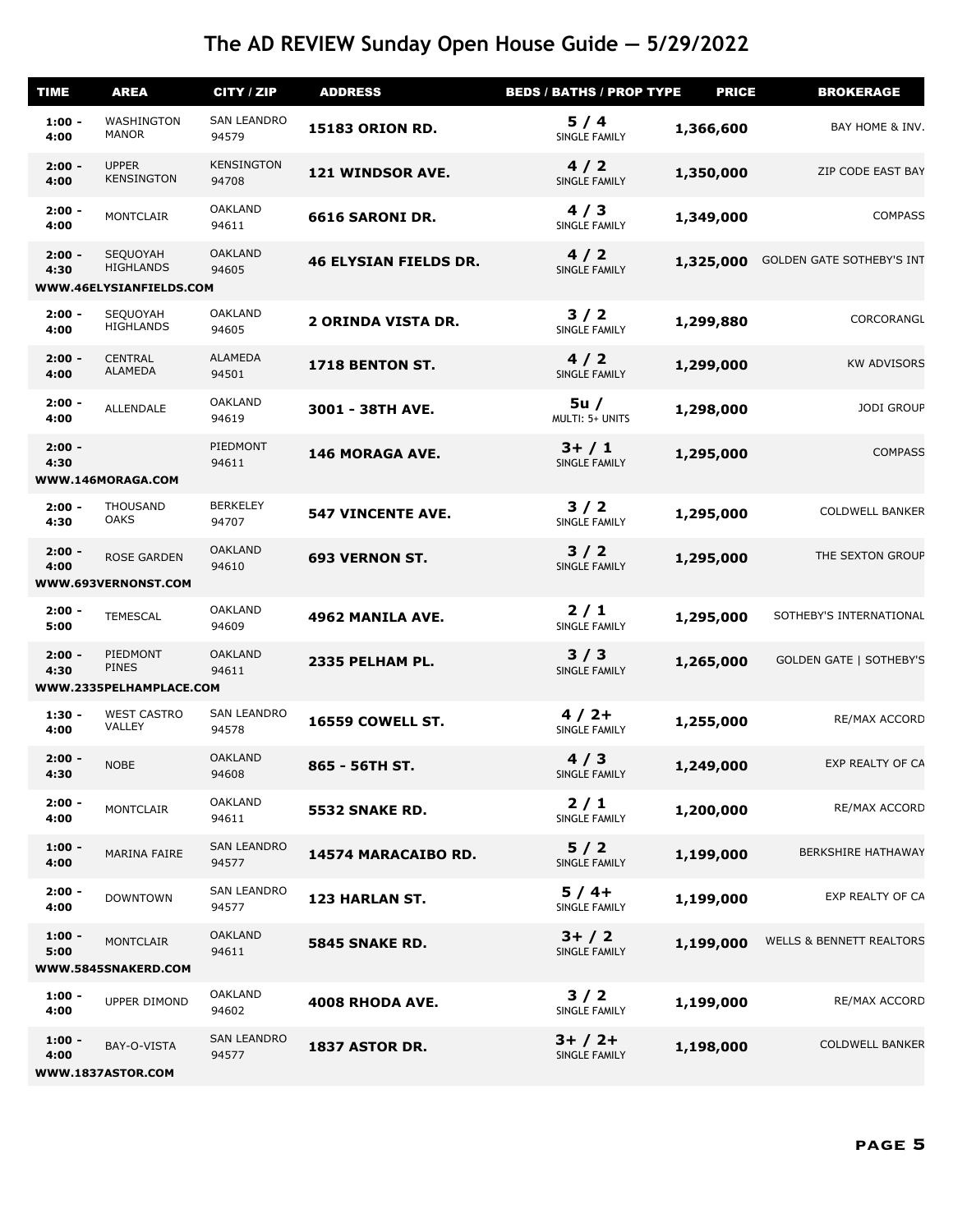| <b>TIME</b>      | <b>AREA</b>                                             | CITY / ZIP                  | <b>ADDRESS</b>               | <b>BEDS / BATHS / PROP TYPE</b> | <b>PRICE</b> | <b>BROKERAGE</b>                    |
|------------------|---------------------------------------------------------|-----------------------------|------------------------------|---------------------------------|--------------|-------------------------------------|
| $1:00 -$<br>4:00 | WASHINGTON<br><b>MANOR</b>                              | <b>SAN LEANDRO</b><br>94579 | <b>15183 ORION RD.</b>       | 5/4<br>SINGLE FAMILY            | 1,366,600    | BAY HOME & INV.                     |
| $2:00 -$<br>4:00 | <b>UPPER</b><br><b>KENSINGTON</b>                       | <b>KENSINGTON</b><br>94708  | 121 WINDSOR AVE.             | 4/2<br>SINGLE FAMILY            | 1,350,000    | ZIP CODE EAST BAY                   |
| $2:00 -$<br>4:00 | <b>MONTCLAIR</b>                                        | <b>OAKLAND</b><br>94611     | 6616 SARONI DR.              | 4/3<br>SINGLE FAMILY            | 1,349,000    | <b>COMPASS</b>                      |
| $2:00 -$<br>4:30 | SEQUOYAH<br><b>HIGHLANDS</b><br>WWW.46ELYSIANFIELDS.COM | <b>OAKLAND</b><br>94605     | <b>46 ELYSIAN FIELDS DR.</b> | 4/2<br>SINGLE FAMILY            | 1,325,000    | <b>GOLDEN GATE SOTHEBY'S INT</b>    |
| $2:00 -$<br>4:00 | SEQUOYAH<br><b>HIGHLANDS</b>                            | <b>OAKLAND</b><br>94605     | <b>2 ORINDA VISTA DR.</b>    | 3/2<br>SINGLE FAMILY            | 1,299,880    | CORCORANGL                          |
| $2:00 -$<br>4:00 | <b>CENTRAL</b><br><b>ALAMEDA</b>                        | <b>ALAMEDA</b><br>94501     | 1718 BENTON ST.              | 4/2<br>SINGLE FAMILY            | 1,299,000    | <b>KW ADVISORS</b>                  |
| $2:00 -$<br>4:00 | ALLENDALE                                               | <b>OAKLAND</b><br>94619     | 3001 - 38TH AVE.             | 5u/<br>MULTI: 5+ UNITS          | 1,298,000    | <b>JODI GROUP</b>                   |
| $2:00 -$<br>4:30 | WWW.146MORAGA.COM                                       | PIEDMONT<br>94611           | <b>146 MORAGA AVE.</b>       | $3+ / 1$<br>SINGLE FAMILY       | 1,295,000    | <b>COMPASS</b>                      |
| $2:00 -$<br>4:30 | <b>THOUSAND</b><br><b>OAKS</b>                          | <b>BERKELEY</b><br>94707    | <b>547 VINCENTE AVE.</b>     | $3/2$<br>SINGLE FAMILY          | 1,295,000    | <b>COLDWELL BANKER</b>              |
| $2:00 -$<br>4:00 | <b>ROSE GARDEN</b><br>WWW.693VERNONST.COM               | <b>OAKLAND</b><br>94610     | <b>693 VERNON ST.</b>        | $3/2$<br>SINGLE FAMILY          | 1,295,000    | THE SEXTON GROUP                    |
| $2:00 -$<br>5:00 | <b>TEMESCAL</b>                                         | <b>OAKLAND</b><br>94609     | 4962 MANILA AVE.             | $2/1$<br>SINGLE FAMILY          | 1,295,000    | SOTHEBY'S INTERNATIONAL             |
| $2:00 -$<br>4:30 | PIEDMONT<br><b>PINES</b><br>WWW.2335PELHAMPLACE.COM     | <b>OAKLAND</b><br>94611     | 2335 PELHAM PL.              | 3/3<br><b>SINGLE FAMILY</b>     | 1,265,000    | <b>GOLDEN GATE   SOTHEBY'S</b>      |
| $1:30 -$<br>4:00 | <b>WEST CASTRO</b><br>VALLEY                            | <b>SAN LEANDRO</b><br>94578 | 16559 COWELL ST.             | $4/2+$<br>SINGLE FAMILY         | 1,255,000    | RE/MAX ACCORD                       |
| $2:00 -$<br>4:30 | <b>NOBE</b>                                             | <b>OAKLAND</b><br>94608     | 865 - 56TH ST.               | 4/3<br><b>SINGLE FAMILY</b>     | 1,249,000    | EXP REALTY OF CA                    |
| $2:00 -$<br>4:00 | <b>MONTCLAIR</b>                                        | <b>OAKLAND</b><br>94611     | 5532 SNAKE RD.               | 2/1<br>SINGLE FAMILY            | 1,200,000    | RE/MAX ACCORD                       |
| $1:00 -$<br>4:00 | MARINA FAIRE                                            | <b>SAN LEANDRO</b><br>94577 | 14574 MARACAIBO RD.          | 5/2<br>SINGLE FAMILY            | 1,199,000    | <b>BERKSHIRE HATHAWAY</b>           |
| $2:00 -$<br>4:00 | <b>DOWNTOWN</b>                                         | <b>SAN LEANDRO</b><br>94577 | 123 HARLAN ST.               | $5/4+$<br>SINGLE FAMILY         | 1,199,000    | EXP REALTY OF CA                    |
| $1:00 -$<br>5:00 | <b>MONTCLAIR</b><br>WWW.5845SNAKERD.COM                 | <b>OAKLAND</b><br>94611     | 5845 SNAKE RD.               | $3+ / 2$<br>SINGLE FAMILY       | 1,199,000    | <b>WELLS &amp; BENNETT REALTORS</b> |
| $1:00 -$<br>4:00 | UPPER DIMOND                                            | <b>OAKLAND</b><br>94602     | 4008 RHODA AVE.              | 3/2<br>SINGLE FAMILY            | 1,199,000    | RE/MAX ACCORD                       |
| $1:00 -$<br>4:00 | BAY-O-VISTA<br>WWW.1837ASTOR.COM                        | <b>SAN LEANDRO</b><br>94577 | 1837 ASTOR DR.               | $3+ / 2+$<br>SINGLE FAMILY      | 1,198,000    | <b>COLDWELL BANKER</b>              |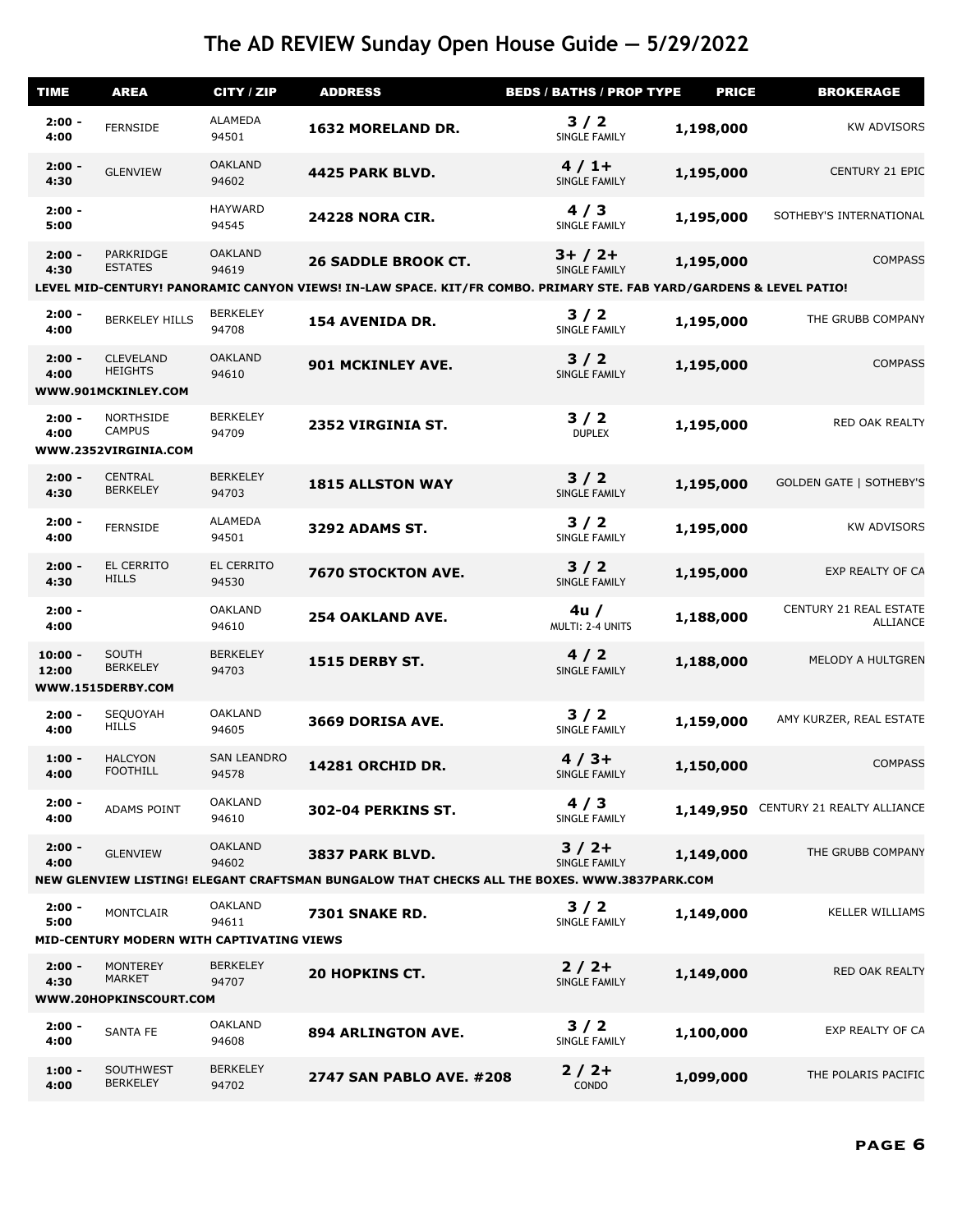| <b>TIME</b>        | <b>AREA</b>                                                | CITY / ZIP                  | <b>ADDRESS</b>                                                                                                      | <b>BEDS / BATHS / PROP TYPE</b> | <b>PRICE</b> | <b>BROKERAGE</b>                          |
|--------------------|------------------------------------------------------------|-----------------------------|---------------------------------------------------------------------------------------------------------------------|---------------------------------|--------------|-------------------------------------------|
| $2:00 -$<br>4:00   | <b>FERNSIDE</b>                                            | ALAMEDA<br>94501            | 1632 MORELAND DR.                                                                                                   | $3/2$<br>SINGLE FAMILY          | 1,198,000    | <b>KW ADVISORS</b>                        |
| $2:00 -$<br>4:30   | <b>GLENVIEW</b>                                            | <b>OAKLAND</b><br>94602     | 4425 PARK BLVD.                                                                                                     | $4/1+$<br>SINGLE FAMILY         | 1,195,000    | CENTURY 21 EPIC                           |
| $2:00 -$<br>5:00   |                                                            | <b>HAYWARD</b><br>94545     | <b>24228 NORA CIR.</b>                                                                                              | 4/3<br>SINGLE FAMILY            | 1,195,000    | SOTHEBY'S INTERNATIONAL                   |
| $2:00 -$<br>4:30   | PARKRIDGE<br><b>ESTATES</b>                                | <b>OAKLAND</b><br>94619     | <b>26 SADDLE BROOK CT.</b>                                                                                          | $3+ / 2+$<br>SINGLE FAMILY      | 1,195,000    | <b>COMPASS</b>                            |
|                    |                                                            |                             | LEVEL MID-CENTURY! PANORAMIC CANYON VIEWS! IN-LAW SPACE. KIT/FR COMBO. PRIMARY STE. FAB YARD/GARDENS & LEVEL PATIO! |                                 |              |                                           |
| $2:00 -$<br>4:00   | <b>BERKELEY HILLS</b>                                      | <b>BERKELEY</b><br>94708    | 154 AVENIDA DR.                                                                                                     | 3/2<br>SINGLE FAMILY            | 1,195,000    | THE GRUBB COMPANY                         |
| $2:00 -$<br>4:00   | <b>CLEVELAND</b><br><b>HEIGHTS</b><br>WWW.901MCKINLEY.COM  | <b>OAKLAND</b><br>94610     | 901 MCKINLEY AVE.                                                                                                   | $3/2$<br>SINGLE FAMILY          | 1,195,000    | <b>COMPASS</b>                            |
| $2:00 -$<br>4:00   | <b>NORTHSIDE</b><br><b>CAMPUS</b><br>WWW.2352VIRGINIA.COM  | <b>BERKELEY</b><br>94709    | 2352 VIRGINIA ST.                                                                                                   | 3/2<br><b>DUPLEX</b>            | 1,195,000    | RED OAK REALTY                            |
| $2:00 -$<br>4:30   | <b>CENTRAL</b><br><b>BERKELEY</b>                          | <b>BERKELEY</b><br>94703    | <b>1815 ALLSTON WAY</b>                                                                                             | $3/2$<br>SINGLE FAMILY          | 1,195,000    | <b>GOLDEN GATE   SOTHEBY'S</b>            |
| $2:00 -$<br>4:00   | <b>FERNSIDE</b>                                            | <b>ALAMEDA</b><br>94501     | <b>3292 ADAMS ST.</b>                                                                                               | 3/2<br>SINGLE FAMILY            | 1,195,000    | <b>KW ADVISORS</b>                        |
| $2:00 -$<br>4:30   | EL CERRITO<br><b>HILLS</b>                                 | EL CERRITO<br>94530         | 7670 STOCKTON AVE.                                                                                                  | 3/2<br>SINGLE FAMILY            | 1,195,000    | EXP REALTY OF CA                          |
| $2:00 -$<br>4:00   |                                                            | <b>OAKLAND</b><br>94610     | <b>254 OAKLAND AVE.</b>                                                                                             | 4u/<br>MULTI: 2-4 UNITS         | 1,188,000    | CENTURY 21 REAL ESTATE<br><b>ALLIANCE</b> |
| $10:00 -$<br>12:00 | SOUTH<br><b>BERKELEY</b><br>WWW.1515DERBY.COM              | <b>BERKELEY</b><br>94703    | <b>1515 DERBY ST.</b>                                                                                               | 4/2<br>SINGLE FAMILY            | 1,188,000    | MELODY A HULTGREN                         |
|                    |                                                            |                             |                                                                                                                     |                                 |              |                                           |
| $2:00 -$<br>4:00   | SEQUOYAH<br><b>HILLS</b>                                   | <b>OAKLAND</b><br>94605     | 3669 DORISA AVE.                                                                                                    | 3/2<br>SINGLE FAMILY            | 1,159,000    | AMY KURZER, REAL ESTATE                   |
| $1:00 -$<br>4:00   | <b>HALCYON</b><br><b>FOOTHILL</b>                          | <b>SAN LEANDRO</b><br>94578 | 14281 ORCHID DR.                                                                                                    | $4/3+$<br>SINGLE FAMILY         | 1,150,000    | <b>COMPASS</b>                            |
| $2:00 -$<br>4:00   | ADAMS POINT                                                | <b>OAKLAND</b><br>94610     | <b>302-04 PERKINS ST.</b>                                                                                           | 4/3<br>SINGLE FAMILY            | 1,149,950    | CENTURY 21 REALTY ALLIANCE                |
| $2:00 -$<br>4:00   | <b>GLENVIEW</b>                                            | <b>OAKLAND</b><br>94602     | 3837 PARK BLVD.                                                                                                     | $3/2+$<br>SINGLE FAMILY         | 1,149,000    | THE GRUBB COMPANY                         |
|                    |                                                            |                             | NEW GLENVIEW LISTING! ELEGANT CRAFTSMAN BUNGALOW THAT CHECKS ALL THE BOXES. WWW.3837PARK.COM                        |                                 |              |                                           |
| $2:00 -$<br>5:00   | <b>MONTCLAIR</b>                                           | <b>OAKLAND</b><br>94611     | <b>7301 SNAKE RD.</b>                                                                                               | 3/2<br>SINGLE FAMILY            | 1,149,000    | <b>KELLER WILLIAMS</b>                    |
|                    | MID-CENTURY MODERN WITH CAPTIVATING VIEWS                  |                             |                                                                                                                     |                                 |              |                                           |
| $2:00 -$<br>4:30   | <b>MONTEREY</b><br><b>MARKET</b><br>WWW.20HOPKINSCOURT.COM | <b>BERKELEY</b><br>94707    | <b>20 HOPKINS CT.</b>                                                                                               | $2/2+$<br>SINGLE FAMILY         | 1,149,000    | RED OAK REALTY                            |
|                    |                                                            |                             |                                                                                                                     |                                 |              |                                           |
| $2:00 -$<br>4:00   | <b>SANTA FE</b>                                            | <b>OAKLAND</b><br>94608     | <b>894 ARLINGTON AVE.</b>                                                                                           | 3/2<br>SINGLE FAMILY            | 1,100,000    | EXP REALTY OF CA                          |
| $1:00 -$<br>4:00   | SOUTHWEST<br><b>BERKELEY</b>                               | <b>BERKELEY</b><br>94702    | <b>2747 SAN PABLO AVE. #208</b>                                                                                     | $2/2+$<br>CONDO                 | 1,099,000    | THE POLARIS PACIFIC                       |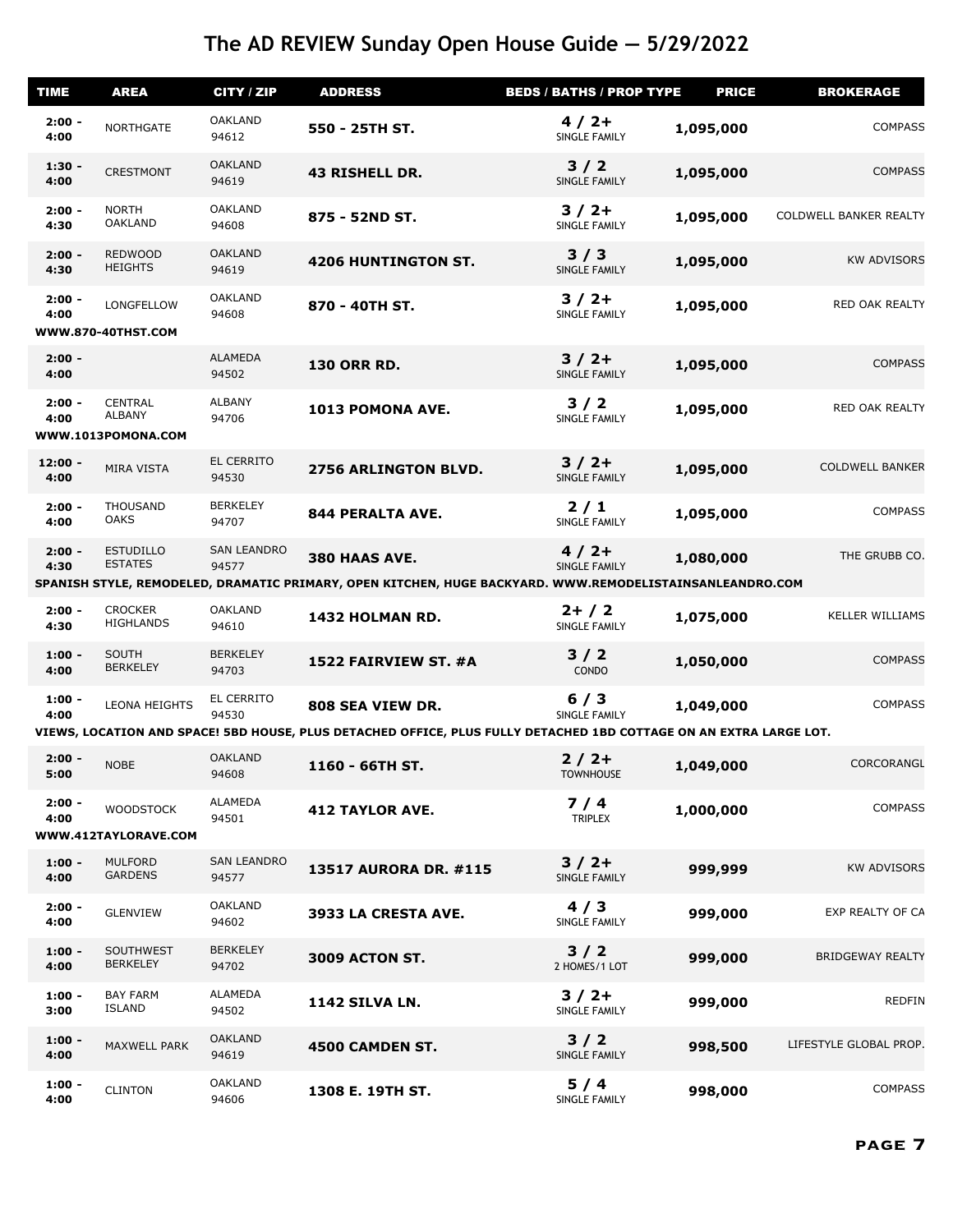| <b>TIME</b>       | <b>AREA</b>                                           | CITY / ZIP                  | <b>ADDRESS</b>                                                                                                                         | <b>BEDS / BATHS / PROP TYPE</b> | <b>PRICE</b> | <b>BROKERAGE</b>        |
|-------------------|-------------------------------------------------------|-----------------------------|----------------------------------------------------------------------------------------------------------------------------------------|---------------------------------|--------------|-------------------------|
| $2:00 -$<br>4:00  | NORTHGATE                                             | <b>OAKLAND</b><br>94612     | 550 - 25TH ST.                                                                                                                         | $4/2+$<br>SINGLE FAMILY         | 1,095,000    | <b>COMPASS</b>          |
| $1:30 -$<br>4:00  | <b>CRESTMONT</b>                                      | <b>OAKLAND</b><br>94619     | <b>43 RISHELL DR.</b>                                                                                                                  | $3/2$<br>SINGLE FAMILY          | 1,095,000    | <b>COMPASS</b>          |
| $2:00 -$<br>4:30  | <b>NORTH</b><br><b>OAKLAND</b>                        | <b>OAKLAND</b><br>94608     | 875 - 52ND ST.                                                                                                                         | $3/2+$<br>SINGLE FAMILY         | 1,095,000    | COLDWELL BANKER REALTY  |
| $2:00 -$<br>4:30  | <b>REDWOOD</b><br><b>HEIGHTS</b>                      | <b>OAKLAND</b><br>94619     | <b>4206 HUNTINGTON ST.</b>                                                                                                             | 3/3<br>SINGLE FAMILY            | 1,095,000    | <b>KW ADVISORS</b>      |
| $2:00 -$<br>4:00  | LONGFELLOW<br>WWW.870-40THST.COM                      | <b>OAKLAND</b><br>94608     | 870 - 40TH ST.                                                                                                                         | $3/2+$<br>SINGLE FAMILY         | 1,095,000    | RED OAK REALTY          |
| $2:00 -$<br>4:00  |                                                       | <b>ALAMEDA</b><br>94502     | <b>130 ORR RD.</b>                                                                                                                     | $3/2+$<br>SINGLE FAMILY         | 1,095,000    | <b>COMPASS</b>          |
| $2:00 -$<br>4:00  | <b>CENTRAL</b><br><b>ALBANY</b><br>WWW.1013POMONA.COM | <b>ALBANY</b><br>94706      | 1013 POMONA AVE.                                                                                                                       | 3/2<br>SINGLE FAMILY            | 1,095,000    | RED OAK REALTY          |
| $12:00 -$<br>4:00 | MIRA VISTA                                            | EL CERRITO<br>94530         | 2756 ARLINGTON BLVD.                                                                                                                   | $3/2+$<br>SINGLE FAMILY         | 1,095,000    | <b>COLDWELL BANKER</b>  |
| $2:00 -$<br>4:00  | <b>THOUSAND</b><br><b>OAKS</b>                        | <b>BERKELEY</b><br>94707    | <b>844 PERALTA AVE.</b>                                                                                                                | $2/1$<br>SINGLE FAMILY          | 1,095,000    | <b>COMPASS</b>          |
| $2:00 -$<br>4:30  | <b>ESTUDILLO</b><br><b>ESTATES</b>                    | <b>SAN LEANDRO</b><br>94577 | 380 HAAS AVE.<br>SPANISH STYLE, REMODELED, DRAMATIC PRIMARY, OPEN KITCHEN, HUGE BACKYARD. WWW.REMODELISTAINSANLEANDRO.COM              | $4/2+$<br>SINGLE FAMILY         | 1,080,000    | THE GRUBB CO.           |
| $2:00 -$<br>4:30  | <b>CROCKER</b><br><b>HIGHLANDS</b>                    | <b>OAKLAND</b><br>94610     | 1432 HOLMAN RD.                                                                                                                        | $2+ / 2$<br>SINGLE FAMILY       | 1,075,000    | <b>KELLER WILLIAMS</b>  |
| $1:00 -$<br>4:00  | SOUTH<br><b>BERKELEY</b>                              | <b>BERKELEY</b><br>94703    | 1522 FAIRVIEW ST. #A                                                                                                                   | 3/2<br>CONDO                    | 1,050,000    | <b>COMPASS</b>          |
| $1:00 -$<br>4:00  | LEONA HEIGHTS                                         | EL CERRITO<br>94530         | 808 SEA VIEW DR.<br>VIEWS, LOCATION AND SPACE! 5BD HOUSE, PLUS DETACHED OFFICE, PLUS FULLY DETACHED 1BD COTTAGE ON AN EXTRA LARGE LOT. | $6/3$<br>SINGLE FAMILY          | 1,049,000    | <b>COMPASS</b>          |
| $2:00 -$          |                                                       | <b>OAKLAND</b>              |                                                                                                                                        | $2/2+$                          |              |                         |
| 5:00              | <b>NOBE</b>                                           | 94608                       | 1160 - 66TH ST.                                                                                                                        | <b>TOWNHOUSE</b>                | 1,049,000    | CORCORANGL              |
| $2:00 -$<br>4:00  | <b>WOODSTOCK</b><br>WWW.412TAYLORAVE.COM              | ALAMEDA<br>94501            | <b>412 TAYLOR AVE.</b>                                                                                                                 | $7/4$<br><b>TRIPLEX</b>         | 1,000,000    | <b>COMPASS</b>          |
| $1:00 -$<br>4:00  | <b>MULFORD</b><br><b>GARDENS</b>                      | <b>SAN LEANDRO</b><br>94577 | <b>13517 AURORA DR. #115</b>                                                                                                           | $3/2+$<br>SINGLE FAMILY         | 999,999      | <b>KW ADVISORS</b>      |
| $2:00 -$<br>4:00  | <b>GLENVIEW</b>                                       | <b>OAKLAND</b><br>94602     | 3933 LA CRESTA AVE.                                                                                                                    | 4/3<br>SINGLE FAMILY            | 999,000      | EXP REALTY OF CA        |
| $1:00 -$<br>4:00  | SOUTHWEST<br><b>BERKELEY</b>                          | <b>BERKELEY</b><br>94702    | <b>3009 ACTON ST.</b>                                                                                                                  | 3/2<br>2 HOMES/1 LOT            | 999,000      | <b>BRIDGEWAY REALTY</b> |
| $1:00 -$<br>3:00  | <b>BAY FARM</b><br><b>ISLAND</b>                      | <b>ALAMEDA</b><br>94502     | <b>1142 SILVA LN.</b>                                                                                                                  | $3/2+$<br>SINGLE FAMILY         | 999,000      | <b>REDFIN</b>           |
| $1:00 -$<br>4:00  | <b>MAXWELL PARK</b>                                   | <b>OAKLAND</b><br>94619     | 4500 CAMDEN ST.                                                                                                                        | 3/2<br>SINGLE FAMILY            | 998,500      | LIFESTYLE GLOBAL PROP.  |
| $1:00 -$<br>4:00  | <b>CLINTON</b>                                        | <b>OAKLAND</b><br>94606     | 1308 E. 19TH ST.                                                                                                                       | 5/4<br>SINGLE FAMILY            | 998,000      | <b>COMPASS</b>          |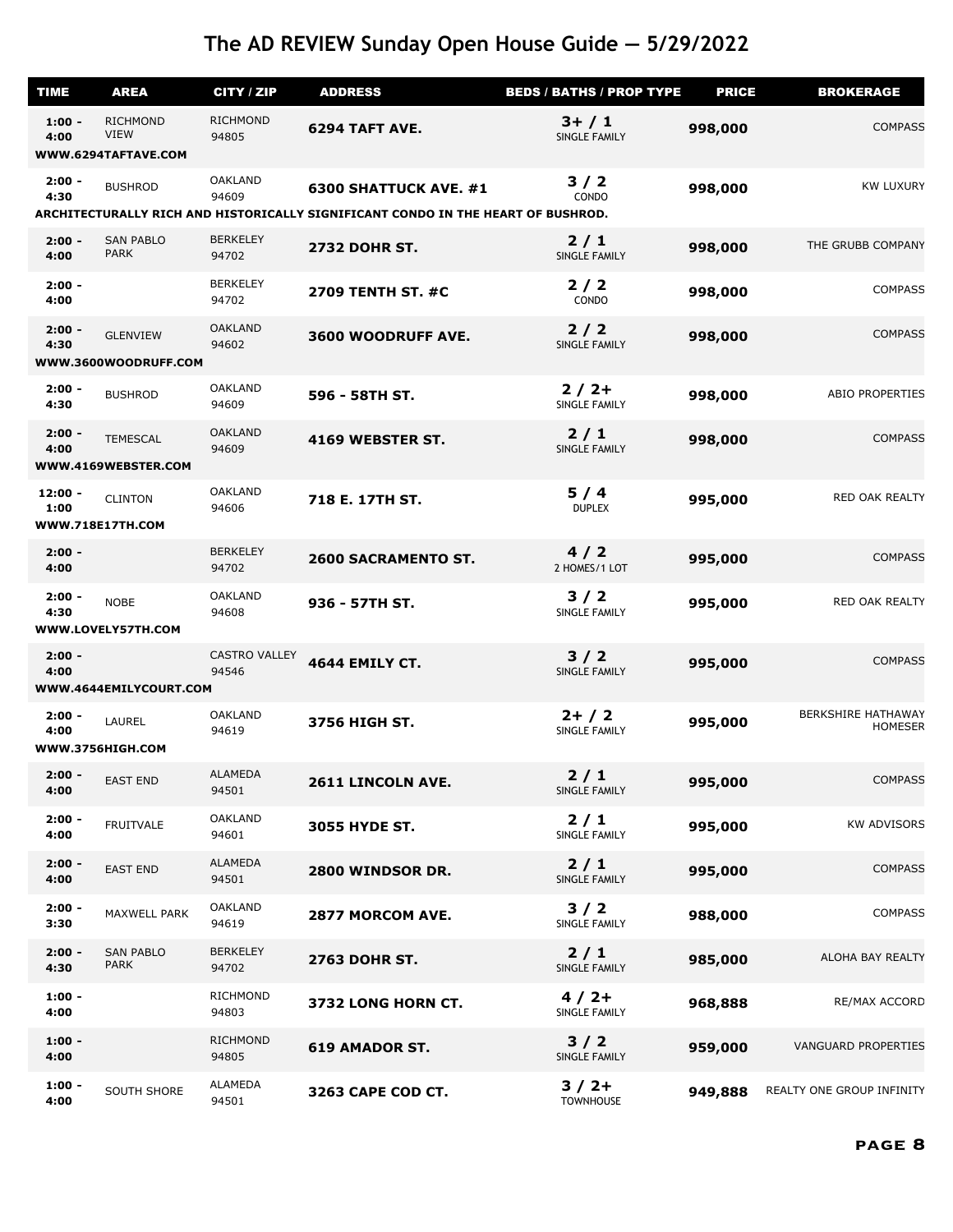| <b>TIME</b>       | <b>AREA</b>                                           | CITY / ZIP                    | <b>ADDRESS</b>                                                                                            | <b>BEDS / BATHS / PROP TYPE</b>  | <b>PRICE</b> | <b>BROKERAGE</b>                            |
|-------------------|-------------------------------------------------------|-------------------------------|-----------------------------------------------------------------------------------------------------------|----------------------------------|--------------|---------------------------------------------|
| $1:00 -$<br>4:00  | <b>RICHMOND</b><br><b>VIEW</b><br>WWW.6294TAFTAVE.COM | <b>RICHMOND</b><br>94805      | 6294 TAFT AVE.                                                                                            | $3+ / 1$<br>SINGLE FAMILY        | 998,000      | <b>COMPASS</b>                              |
| $2:00 -$<br>4:30  | <b>BUSHROD</b>                                        | <b>OAKLAND</b><br>94609       | 6300 SHATTUCK AVE. #1<br>ARCHITECTURALLY RICH AND HISTORICALLY SIGNIFICANT CONDO IN THE HEART OF BUSHROD. | 3/2<br><b>CONDO</b>              | 998,000      | <b>KW LUXURY</b>                            |
| $2:00 -$          | <b>SAN PABLO</b>                                      | <b>BERKELEY</b>               |                                                                                                           | 2/1                              |              |                                             |
| 4:00              | <b>PARK</b>                                           | 94702                         | <b>2732 DOHR ST.</b>                                                                                      | SINGLE FAMILY                    | 998,000      | THE GRUBB COMPANY                           |
| $2:00 -$<br>4:00  |                                                       | <b>BERKELEY</b><br>94702      | <b>2709 TENTH ST. #C</b>                                                                                  | 2/2<br>CONDO                     | 998,000      | <b>COMPASS</b>                              |
| $2:00 -$<br>4:30  | <b>GLENVIEW</b><br>WWW.3600WOODRUFF.COM               | <b>OAKLAND</b><br>94602       | 3600 WOODRUFF AVE.                                                                                        | 2/2<br>SINGLE FAMILY             | 998,000      | <b>COMPASS</b>                              |
| $2:00 -$<br>4:30  | <b>BUSHROD</b>                                        | <b>OAKLAND</b><br>94609       | 596 - 58TH ST.                                                                                            | $2/2+$<br>SINGLE FAMILY          | 998,000      | <b>ABIO PROPERTIES</b>                      |
| $2:00 -$<br>4:00  | <b>TEMESCAL</b><br>WWW.4169WEBSTER.COM                | <b>OAKLAND</b><br>94609       | 4169 WEBSTER ST.                                                                                          | 2/1<br>SINGLE FAMILY             | 998,000      | <b>COMPASS</b>                              |
|                   |                                                       |                               |                                                                                                           |                                  |              |                                             |
| $12:00 -$<br>1:00 | <b>CLINTON</b><br>WWW.718E17TH.COM                    | <b>OAKLAND</b><br>94606       | 718 E. 17TH ST.                                                                                           | 5/4<br><b>DUPLEX</b>             | 995,000      | RED OAK REALTY                              |
| $2:00 -$<br>4:00  |                                                       | <b>BERKELEY</b><br>94702      | <b>2600 SACRAMENTO ST.</b>                                                                                | 4/2<br>2 HOMES/1 LOT             | 995,000      | <b>COMPASS</b>                              |
| $2:00 -$<br>4:30  | <b>NOBE</b><br>WWW.LOVELY57TH.COM                     | <b>OAKLAND</b><br>94608       | 936 - 57TH ST.                                                                                            | 3/2<br>SINGLE FAMILY             | 995,000      | RED OAK REALTY                              |
| $2:00 -$<br>4:00  | WWW.4644EMILYCOURT.COM                                | <b>CASTRO VALLEY</b><br>94546 | <b>4644 EMILY CT.</b>                                                                                     | $3/2$<br>SINGLE FAMILY           | 995,000      | <b>COMPASS</b>                              |
| $2:00 -$<br>4:00  | LAUREL<br>WWW.3756HIGH.COM                            | <b>OAKLAND</b><br>94619       | 3756 HIGH ST.                                                                                             | $2+ / 2$<br><b>SINGLE FAMILY</b> | 995,000      | <b>BERKSHIRE HATHAWAY</b><br><b>HOMESER</b> |
| $2:00 -$<br>4:00  | <b>EAST END</b>                                       | <b>ALAMEDA</b><br>94501       | 2611 LINCOLN AVE.                                                                                         | $2/1$<br>SINGLE FAMILY           | 995,000      | <b>COMPASS</b>                              |
| $2:00 -$<br>4:00  | <b>FRUITVALE</b>                                      | <b>OAKLAND</b><br>94601       | <b>3055 HYDE ST.</b>                                                                                      | 2/1<br>SINGLE FAMILY             | 995,000      | <b>KW ADVISORS</b>                          |
| $2:00 -$<br>4:00  | <b>EAST END</b>                                       | ALAMEDA<br>94501              | 2800 WINDSOR DR.                                                                                          | 2/1<br>SINGLE FAMILY             | 995,000      | <b>COMPASS</b>                              |
| $2:00 -$<br>3:30  | MAXWELL PARK                                          | <b>OAKLAND</b><br>94619       | 2877 MORCOM AVE.                                                                                          | $3/2$<br>SINGLE FAMILY           | 988,000      | <b>COMPASS</b>                              |
| $2:00 -$<br>4:30  | <b>SAN PABLO</b><br><b>PARK</b>                       | <b>BERKELEY</b><br>94702      | <b>2763 DOHR ST.</b>                                                                                      | 2/1<br>SINGLE FAMILY             | 985,000      | ALOHA BAY REALTY                            |
| $1:00 -$<br>4:00  |                                                       | <b>RICHMOND</b><br>94803      | 3732 LONG HORN CT.                                                                                        | $4/2+$<br>SINGLE FAMILY          | 968,888      | RE/MAX ACCORD                               |
| $1:00 -$<br>4:00  |                                                       | <b>RICHMOND</b><br>94805      | <b>619 AMADOR ST.</b>                                                                                     | $3/2$<br>SINGLE FAMILY           | 959,000      | <b>VANGUARD PROPERTIES</b>                  |
| $1:00 -$<br>4:00  | SOUTH SHORE                                           | ALAMEDA<br>94501              | 3263 CAPE COD CT.                                                                                         | $3/2+$<br><b>TOWNHOUSE</b>       | 949,888      | REALTY ONE GROUP INFINITY                   |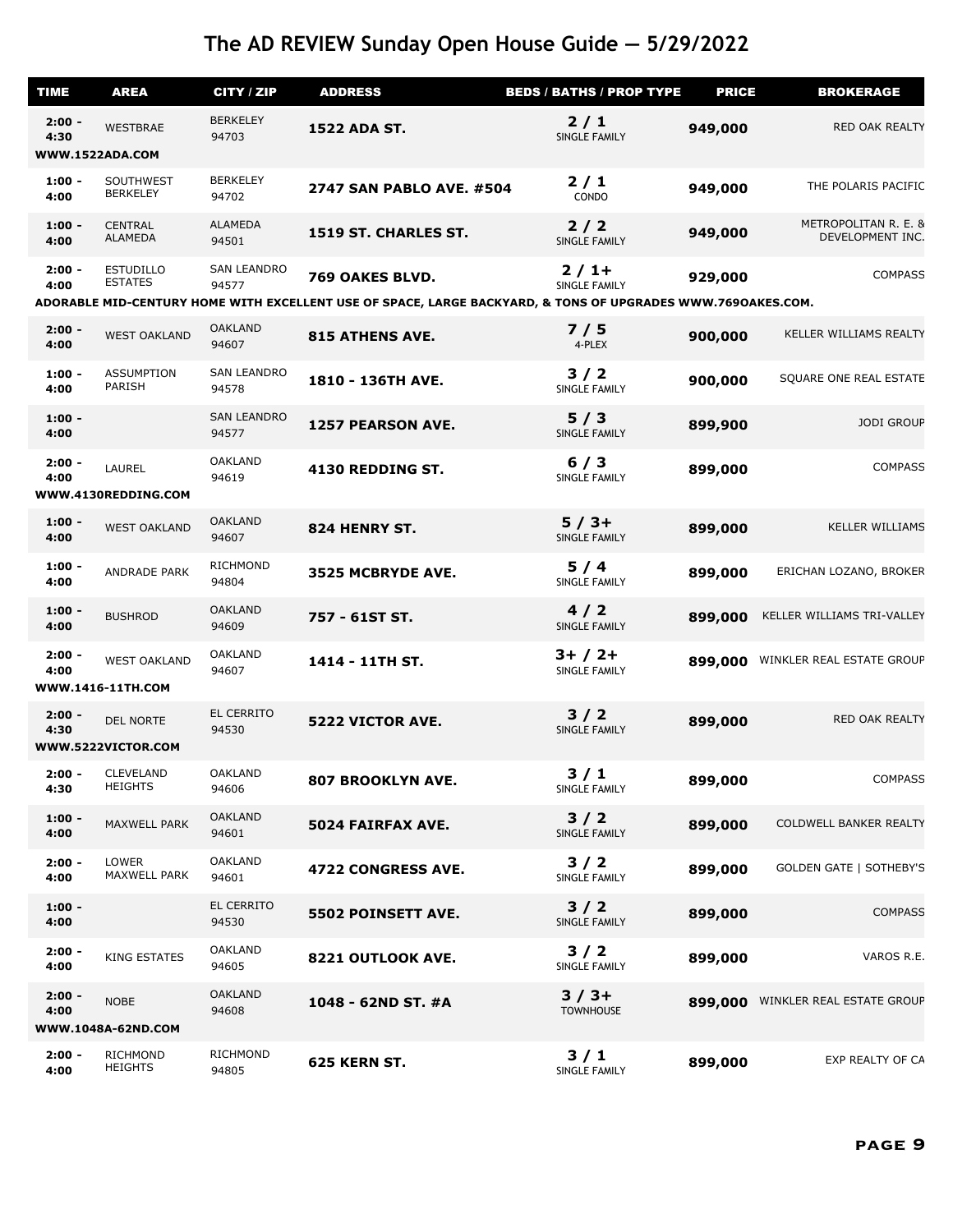| <b>TIME</b>      | <b>AREA</b>                         | CITY / ZIP                  | <b>ADDRESS</b>                                                                                              | <b>BEDS / BATHS / PROP TYPE</b> | <b>PRICE</b> | <b>BROKERAGE</b>                         |
|------------------|-------------------------------------|-----------------------------|-------------------------------------------------------------------------------------------------------------|---------------------------------|--------------|------------------------------------------|
| $2:00 -$<br>4:30 | <b>WESTBRAE</b>                     | <b>BERKELEY</b><br>94703    | <b>1522 ADA ST.</b>                                                                                         | $2/1$<br><b>SINGLE FAMILY</b>   | 949,000      | RED OAK REALTY                           |
|                  | WWW.1522ADA.COM                     |                             |                                                                                                             |                                 |              |                                          |
| $1:00 -$<br>4:00 | SOUTHWEST<br><b>BERKELEY</b>        | <b>BERKELEY</b><br>94702    | <b>2747 SAN PABLO AVE. #504</b>                                                                             | 2/1<br>CONDO                    | 949,000      | THE POLARIS PACIFIC                      |
| $1:00 -$<br>4:00 | <b>CENTRAL</b><br>ALAMEDA           | ALAMEDA<br>94501            | 1519 ST. CHARLES ST.                                                                                        | 2/2<br>SINGLE FAMILY            | 949,000      | METROPOLITAN R. E. &<br>DEVELOPMENT INC. |
| $2:00 -$<br>4:00 | <b>ESTUDILLO</b><br><b>ESTATES</b>  | <b>SAN LEANDRO</b><br>94577 | 769 OAKES BLVD.                                                                                             | $2/1+$<br><b>SINGLE FAMILY</b>  | 929,000      | <b>COMPASS</b>                           |
|                  |                                     |                             | ADORABLE MID-CENTURY HOME WITH EXCELLENT USE OF SPACE, LARGE BACKYARD, & TONS OF UPGRADES WWW.769OAKES.COM. |                                 |              |                                          |
| $2:00 -$<br>4:00 | <b>WEST OAKLAND</b>                 | <b>OAKLAND</b><br>94607     | <b>815 ATHENS AVE.</b>                                                                                      | 7/5<br>4-PLEX                   | 900,000      | KELLER WILLIAMS REALTY                   |
| $1:00 -$<br>4:00 | <b>ASSUMPTION</b><br>PARISH         | <b>SAN LEANDRO</b><br>94578 | 1810 - 136TH AVE.                                                                                           | 3/2<br>SINGLE FAMILY            | 900,000      | SQUARE ONE REAL ESTATE                   |
| $1:00 -$<br>4:00 |                                     | <b>SAN LEANDRO</b><br>94577 | <b>1257 PEARSON AVE.</b>                                                                                    | 5/3<br>SINGLE FAMILY            | 899,900      | <b>JODI GROUP</b>                        |
| $2:00 -$<br>4:00 | LAUREL<br>WWW.4130REDDING.COM       | <b>OAKLAND</b><br>94619     | 4130 REDDING ST.                                                                                            | 6/3<br>SINGLE FAMILY            | 899,000      | <b>COMPASS</b>                           |
|                  |                                     | <b>OAKLAND</b>              |                                                                                                             |                                 |              |                                          |
| $1:00 -$<br>4:00 | <b>WEST OAKLAND</b>                 | 94607                       | 824 HENRY ST.                                                                                               | $5/3+$<br>SINGLE FAMILY         | 899,000      | <b>KELLER WILLIAMS</b>                   |
| $1:00 -$<br>4:00 | ANDRADE PARK                        | <b>RICHMOND</b><br>94804    | 3525 MCBRYDE AVE.                                                                                           | 5/4<br>SINGLE FAMILY            | 899,000      | ERICHAN LOZANO, BROKER                   |
| $1:00 -$<br>4:00 | <b>BUSHROD</b>                      | <b>OAKLAND</b><br>94609     | 757 - 61ST ST.                                                                                              | 4/2<br>SINGLE FAMILY            | 899,000      | KELLER WILLIAMS TRI-VALLEY               |
| $2:00 -$<br>4:00 | <b>WEST OAKLAND</b>                 | <b>OAKLAND</b><br>94607     | 1414 - 11TH ST.                                                                                             | $3+ / 2+$<br>SINGLE FAMILY      | 899,000      | WINKLER REAL ESTATE GROUP                |
|                  | WWW.1416-11TH.COM                   |                             |                                                                                                             |                                 |              |                                          |
| $2:00 -$<br>4:30 | DEL NORTE                           | <b>EL CERRITO</b><br>94530  | 5222 VICTOR AVE.                                                                                            | $3/2$<br>SINGLE FAMILY          | 899,000      | RED OAK REALTY                           |
|                  | WWW.5222VICTOR.COM                  |                             |                                                                                                             |                                 |              |                                          |
| $2:00 -$<br>4:30 | <b>CLEVELAND</b><br><b>HEIGHTS</b>  | <b>OAKLAND</b><br>94606     | <b>807 BROOKLYN AVE.</b>                                                                                    | 3/1<br>SINGLE FAMILY            | 899,000      | <b>COMPASS</b>                           |
| $1:00 -$<br>4:00 | MAXWELL PARK                        | <b>OAKLAND</b><br>94601     | 5024 FAIRFAX AVE.                                                                                           | 3/2<br>SINGLE FAMILY            | 899,000      | COLDWELL BANKER REALTY                   |
| $2:00 -$<br>4:00 | <b>LOWER</b><br><b>MAXWELL PARK</b> | <b>OAKLAND</b><br>94601     | 4722 CONGRESS AVE.                                                                                          | 3/2<br>SINGLE FAMILY            | 899,000      | <b>GOLDEN GATE   SOTHEBY'S</b>           |
| $1:00 -$<br>4:00 |                                     | <b>EL CERRITO</b><br>94530  | 5502 POINSETT AVE.                                                                                          | $3/2$<br>SINGLE FAMILY          | 899,000      | <b>COMPASS</b>                           |
| $2:00 -$<br>4:00 | <b>KING ESTATES</b>                 | <b>OAKLAND</b><br>94605     | 8221 OUTLOOK AVE.                                                                                           | 3/2<br>SINGLE FAMILY            | 899,000      | VAROS R.E.                               |
| $2:00 -$<br>4:00 | <b>NOBE</b><br>WWW.1048A-62ND.COM   | <b>OAKLAND</b><br>94608     | 1048 - 62ND ST. #A                                                                                          | $3/3+$<br><b>TOWNHOUSE</b>      | 899,000      | WINKLER REAL ESTATE GROUP                |
|                  |                                     | <b>RICHMOND</b>             |                                                                                                             |                                 |              |                                          |
| $2:00 -$<br>4:00 | <b>RICHMOND</b><br><b>HEIGHTS</b>   | 94805                       | 625 KERN ST.                                                                                                | 3/1<br>SINGLE FAMILY            | 899,000      | EXP REALTY OF CA                         |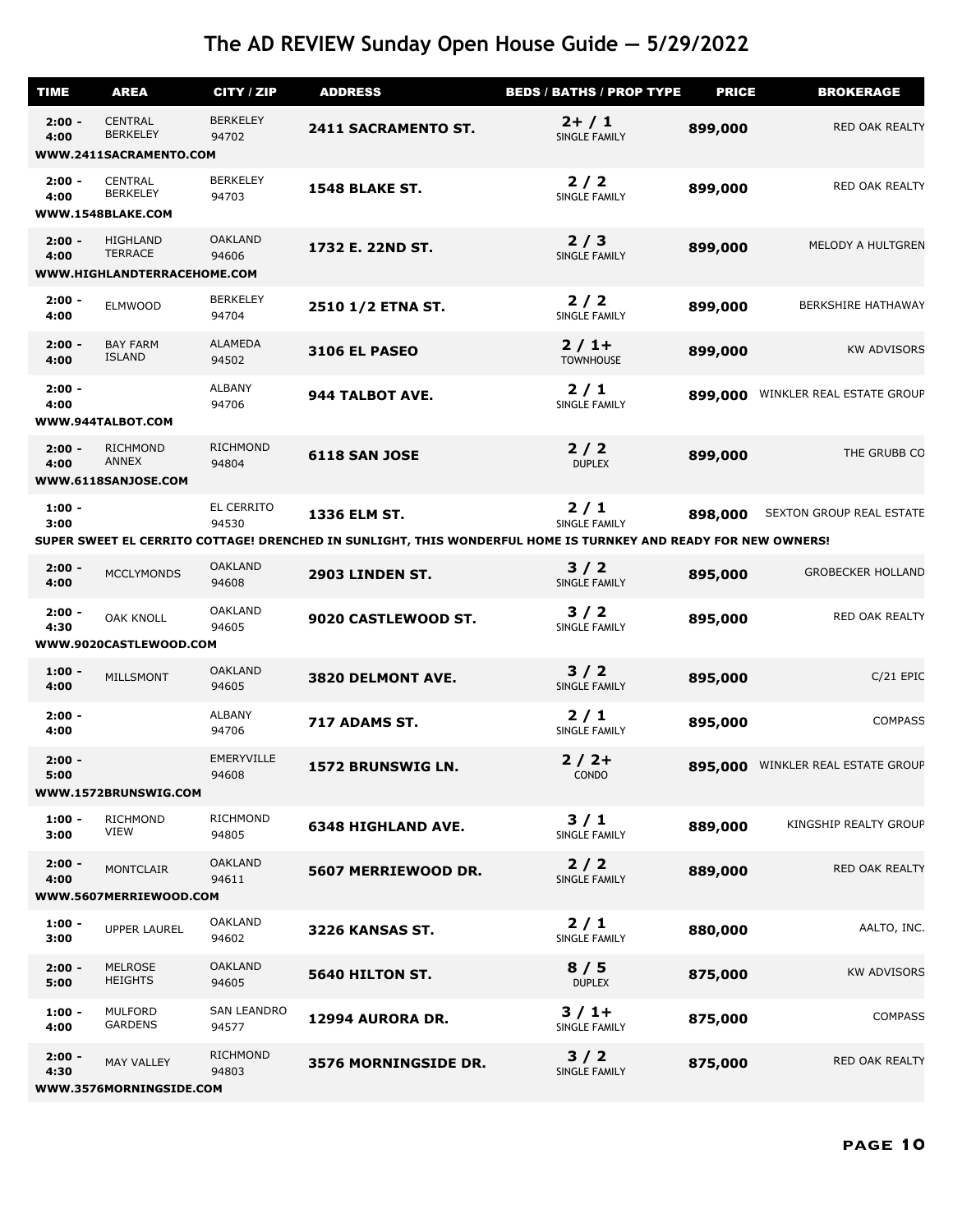| <b>TIME</b>      | <b>AREA</b>                                                      | CITY / ZIP                  | <b>ADDRESS</b>                                                                                                 | <b>BEDS / BATHS / PROP TYPE</b> | <b>PRICE</b> | <b>BROKERAGE</b>          |
|------------------|------------------------------------------------------------------|-----------------------------|----------------------------------------------------------------------------------------------------------------|---------------------------------|--------------|---------------------------|
| $2:00 -$<br>4:00 | <b>CENTRAL</b><br><b>BERKELEY</b>                                | <b>BERKELEY</b><br>94702    | 2411 SACRAMENTO ST.                                                                                            | $2+ / 1$<br>SINGLE FAMILY       | 899,000      | RED OAK REALTY            |
|                  | WWW.2411SACRAMENTO.COM                                           |                             |                                                                                                                |                                 |              |                           |
| $2:00 -$<br>4:00 | CENTRAL<br><b>BERKELEY</b><br>WWW.1548BLAKE.COM                  | <b>BERKELEY</b><br>94703    | <b>1548 BLAKE ST.</b>                                                                                          | $2/2$<br>SINGLE FAMILY          | 899,000      | RED OAK REALTY            |
| $2:00 -$<br>4:00 | <b>HIGHLAND</b><br><b>TERRACE</b><br>WWW.HIGHLANDTERRACEHOME.COM | <b>OAKLAND</b><br>94606     | 1732 E. 22ND ST.                                                                                               | 2/3<br>SINGLE FAMILY            | 899,000      | MELODY A HULTGREN         |
| $2:00 -$<br>4:00 | <b>ELMWOOD</b>                                                   | <b>BERKELEY</b><br>94704    | 2510 1/2 ETNA ST.                                                                                              | $2/2$<br>SINGLE FAMILY          | 899,000      | <b>BERKSHIRE HATHAWAY</b> |
| $2:00 -$<br>4:00 | <b>BAY FARM</b><br><b>ISLAND</b>                                 | ALAMEDA<br>94502            | <b>3106 EL PASEO</b>                                                                                           | $2/1+$<br><b>TOWNHOUSE</b>      | 899,000      | <b>KW ADVISORS</b>        |
| $2:00 -$<br>4:00 | WWW.944TALBOT.COM                                                | <b>ALBANY</b><br>94706      | 944 TALBOT AVE.                                                                                                | $2/1$<br>SINGLE FAMILY          | 899,000      | WINKLER REAL ESTATE GROUP |
| $2:00 -$<br>4:00 | <b>RICHMOND</b><br>ANNEX<br>WWW.6118SANJOSE.COM                  | <b>RICHMOND</b><br>94804    | <b>6118 SAN JOSE</b>                                                                                           | $2/2$<br><b>DUPLEX</b>          | 899,000      | THE GRUBB CO              |
| $1:00 -$<br>3:00 |                                                                  | EL CERRITO<br>94530         | 1336 ELM ST.                                                                                                   | 2/1<br>SINGLE FAMILY            | 898,000      | SEXTON GROUP REAL ESTATE  |
|                  |                                                                  |                             | SUPER SWEET EL CERRITO COTTAGE! DRENCHED IN SUNLIGHT, THIS WONDERFUL HOME IS TURNKEY AND READY FOR NEW OWNERS! |                                 |              |                           |
| $2:00 -$<br>4:00 | <b>MCCLYMONDS</b>                                                | <b>OAKLAND</b><br>94608     | 2903 LINDEN ST.                                                                                                | $3/2$<br>SINGLE FAMILY          | 895,000      | <b>GROBECKER HOLLAND</b>  |
| $2:00 -$<br>4:30 | <b>OAK KNOLL</b>                                                 | <b>OAKLAND</b><br>94605     | 9020 CASTLEWOOD ST.                                                                                            | $3/2$<br>SINGLE FAMILY          | 895,000      | RED OAK REALTY            |
|                  | WWW.9020CASTLEWOOD.COM                                           |                             |                                                                                                                |                                 |              |                           |
| $1:00 -$<br>4:00 | MILLSMONT                                                        | <b>OAKLAND</b><br>94605     | 3820 DELMONT AVE.                                                                                              | $3/2$<br>SINGLE FAMILY          | 895,000      | $C/21$ EPIC               |
| $2:00 -$<br>4:00 |                                                                  | <b>ALBANY</b><br>94706      | 717 ADAMS ST.                                                                                                  | $2/1$<br>SINGLE FAMILY          | 895,000      | <b>COMPASS</b>            |
| $2:00 -$<br>5:00 | WWW.1572BRUNSWIG.COM                                             | EMERYVILLE<br>94608         | 1572 BRUNSWIG LN.                                                                                              | $2/2+$<br>CONDO                 | 895,000      | WINKLER REAL ESTATE GROUP |
| $1:00 -$<br>3:00 | <b>RICHMOND</b><br><b>VIEW</b>                                   | <b>RICHMOND</b><br>94805    | <b>6348 HIGHLAND AVE.</b>                                                                                      | 3/1<br>SINGLE FAMILY            | 889,000      | KINGSHIP REALTY GROUP     |
| $2:00 -$<br>4:00 | <b>MONTCLAIR</b><br>WWW.5607MERRIEWOOD.COM                       | <b>OAKLAND</b><br>94611     | 5607 MERRIEWOOD DR.                                                                                            | 2/2<br>SINGLE FAMILY            | 889,000      | RED OAK REALTY            |
|                  |                                                                  | <b>OAKLAND</b>              |                                                                                                                |                                 |              |                           |
| $1:00 -$<br>3:00 | <b>UPPER LAUREL</b>                                              | 94602                       | 3226 KANSAS ST.                                                                                                | $2/1$<br>SINGLE FAMILY          | 880,000      | AALTO, INC.               |
| $2:00 -$<br>5:00 | <b>MELROSE</b><br><b>HEIGHTS</b>                                 | <b>OAKLAND</b><br>94605     | 5640 HILTON ST.                                                                                                | 8/5<br><b>DUPLEX</b>            | 875,000      | <b>KW ADVISORS</b>        |
| $1:00 -$<br>4:00 | <b>MULFORD</b><br><b>GARDENS</b>                                 | <b>SAN LEANDRO</b><br>94577 | 12994 AURORA DR.                                                                                               | $3/1+$<br>SINGLE FAMILY         | 875,000      | <b>COMPASS</b>            |
| $2:00 -$<br>4:30 | <b>MAY VALLEY</b><br>WWW.3576MORNINGSIDE.COM                     | <b>RICHMOND</b><br>94803    | 3576 MORNINGSIDE DR.                                                                                           | $3/2$<br><b>SINGLE FAMILY</b>   | 875,000      | RED OAK REALTY            |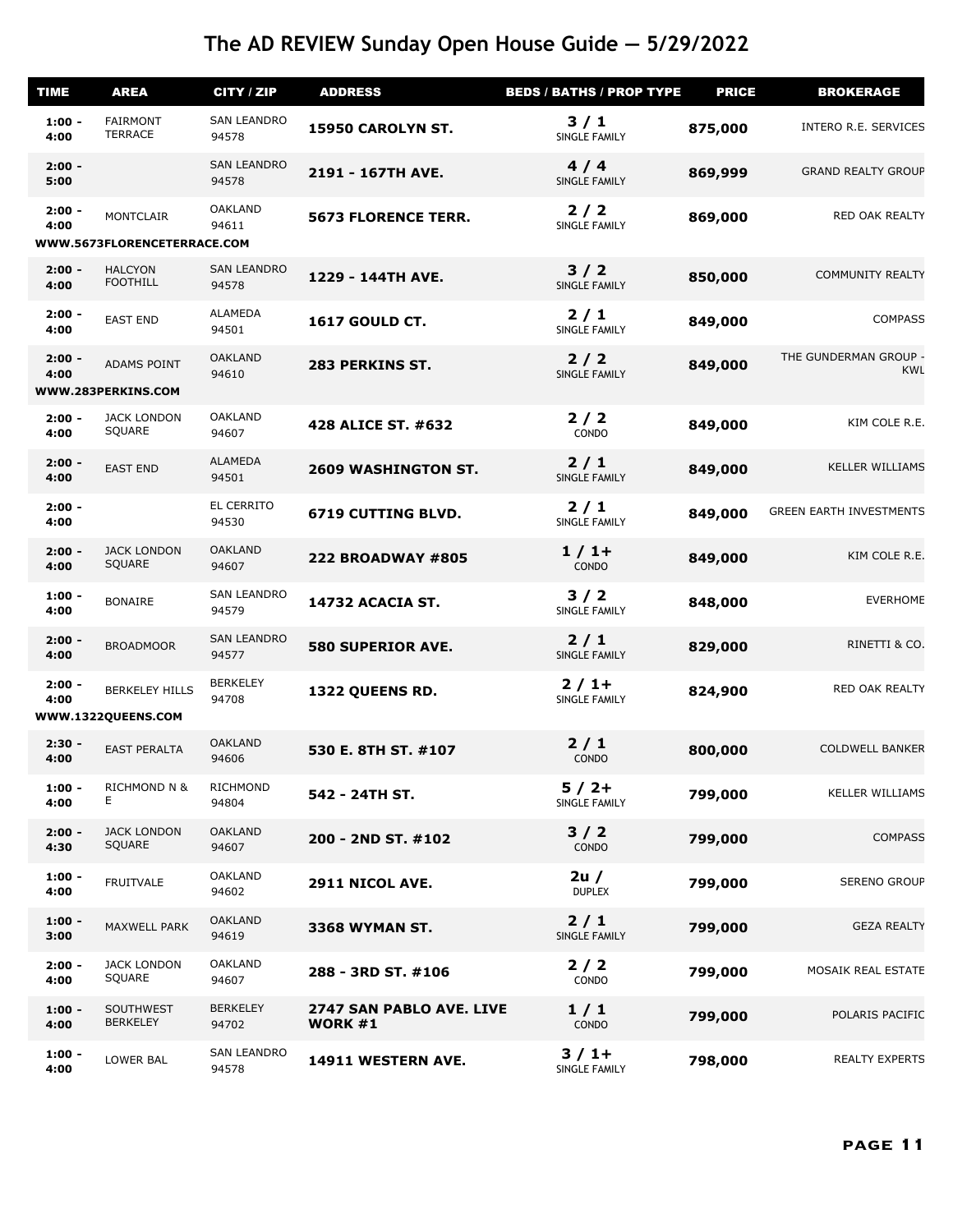| <b>TIME</b>      | <b>AREA</b>                                 | CITY / ZIP                  | <b>ADDRESS</b>                             | <b>BEDS / BATHS / PROP TYPE</b> | <b>PRICE</b> | <b>BROKERAGE</b>                    |
|------------------|---------------------------------------------|-----------------------------|--------------------------------------------|---------------------------------|--------------|-------------------------------------|
| $1:00 -$<br>4:00 | <b>FAIRMONT</b><br><b>TERRACE</b>           | <b>SAN LEANDRO</b><br>94578 | 15950 CAROLYN ST.                          | 3/1<br>SINGLE FAMILY            | 875,000      | INTERO R.E. SERVICES                |
| $2:00 -$<br>5:00 |                                             | <b>SAN LEANDRO</b><br>94578 | 2191 - 167TH AVE.                          | 4/4<br>SINGLE FAMILY            | 869,999      | <b>GRAND REALTY GROUP</b>           |
| $2:00 -$<br>4:00 | <b>MONTCLAIR</b>                            | <b>OAKLAND</b><br>94611     | <b>5673 FLORENCE TERR.</b>                 | $2/2$<br>SINGLE FAMILY          | 869,000      | RED OAK REALTY                      |
|                  | WWW.5673FLORENCETERRACE.COM                 |                             |                                            |                                 |              |                                     |
| $2:00 -$<br>4:00 | <b>HALCYON</b><br><b>FOOTHILL</b>           | <b>SAN LEANDRO</b><br>94578 | 1229 - 144TH AVE.                          | $3/2$<br>SINGLE FAMILY          | 850,000      | <b>COMMUNITY REALTY</b>             |
| $2:00 -$<br>4:00 | <b>EAST END</b>                             | <b>ALAMEDA</b><br>94501     | <b>1617 GOULD CT.</b>                      | $2/1$<br>SINGLE FAMILY          | 849,000      | <b>COMPASS</b>                      |
| $2:00 -$<br>4:00 | ADAMS POINT<br>WWW.283PERKINS.COM           | <b>OAKLAND</b><br>94610     | 283 PERKINS ST.                            | 2/2<br>SINGLE FAMILY            | 849,000      | THE GUNDERMAN GROUP -<br><b>KWL</b> |
| $2:00 -$<br>4:00 | <b>JACK LONDON</b><br>SQUARE                | <b>OAKLAND</b><br>94607     | 428 ALICE ST. #632                         | $2/2$<br>CONDO                  | 849,000      | KIM COLE R.E.                       |
| $2:00 -$<br>4:00 | <b>EAST END</b>                             | ALAMEDA<br>94501            | <b>2609 WASHINGTON ST.</b>                 | $2/1$<br>SINGLE FAMILY          | 849,000      | <b>KELLER WILLIAMS</b>              |
| $2:00 -$<br>4:00 |                                             | EL CERRITO<br>94530         | <b>6719 CUTTING BLVD.</b>                  | $2/1$<br>SINGLE FAMILY          | 849,000      | <b>GREEN EARTH INVESTMENTS</b>      |
| $2:00 -$<br>4:00 | <b>JACK LONDON</b><br>SQUARE                | <b>OAKLAND</b><br>94607     | <b>222 BROADWAY #805</b>                   | $1/1+$<br><b>CONDO</b>          | 849,000      | KIM COLE R.E.                       |
| $1:00 -$<br>4:00 | <b>BONAIRE</b>                              | <b>SAN LEANDRO</b><br>94579 | 14732 ACACIA ST.                           | 3/2<br><b>SINGLE FAMILY</b>     | 848,000      | <b>EVERHOME</b>                     |
| $2:00 -$<br>4:00 | <b>BROADMOOR</b>                            | <b>SAN LEANDRO</b><br>94577 | <b>580 SUPERIOR AVE.</b>                   | $2/1$<br>SINGLE FAMILY          | 829,000      | RINETTI & CO.                       |
| $2:00 -$<br>4:00 | <b>BERKELEY HILLS</b><br>WWW.1322QUEENS.COM | <b>BERKELEY</b><br>94708    | 1322 QUEENS RD.                            | $2/1+$<br>SINGLE FAMILY         | 824,900      | RED OAK REALTY                      |
| $2:30 -$<br>4:00 | <b>EAST PERALTA</b>                         | <b>OAKLAND</b><br>94606     | 530 E. 8TH ST. #107                        | $2/1$<br>CONDO                  | 800,000      | <b>COLDWELL BANKER</b>              |
| $1:00 -$<br>4:00 | <b>RICHMOND N &amp;</b><br>E.               | RICHMOND<br>94804           | 542 - 24TH ST.                             | $5/2+$<br>SINGLE FAMILY         | 799,000      | <b>KELLER WILLIAMS</b>              |
| $2:00 -$<br>4:30 | <b>JACK LONDON</b><br>SQUARE                | <b>OAKLAND</b><br>94607     | 200 - 2ND ST. #102                         | $3/2$<br>CONDO                  | 799,000      | <b>COMPASS</b>                      |
| $1:00 -$<br>4:00 | <b>FRUITVALE</b>                            | <b>OAKLAND</b><br>94602     | 2911 NICOL AVE.                            | 2u /<br><b>DUPLEX</b>           | 799,000      | <b>SERENO GROUP</b>                 |
| $1:00 -$<br>3:00 | MAXWELL PARK                                | <b>OAKLAND</b><br>94619     | <b>3368 WYMAN ST.</b>                      | $2/1$<br>SINGLE FAMILY          | 799,000      | <b>GEZA REALTY</b>                  |
| $2:00 -$<br>4:00 | <b>JACK LONDON</b><br>SQUARE                | <b>OAKLAND</b><br>94607     | 288 - 3RD ST. #106                         | $2/2$<br>CONDO                  | 799,000      | MOSAIK REAL ESTATE                  |
| $1:00 -$<br>4:00 | <b>SOUTHWEST</b><br><b>BERKELEY</b>         | <b>BERKELEY</b><br>94702    | 2747 SAN PABLO AVE. LIVE<br><b>WORK #1</b> | 1/1<br>CONDO                    | 799,000      | POLARIS PACIFIC                     |
| $1:00 -$<br>4:00 | LOWER BAL                                   | <b>SAN LEANDRO</b><br>94578 | 14911 WESTERN AVE.                         | $3/1+$<br>SINGLE FAMILY         | 798,000      | <b>REALTY EXPERTS</b>               |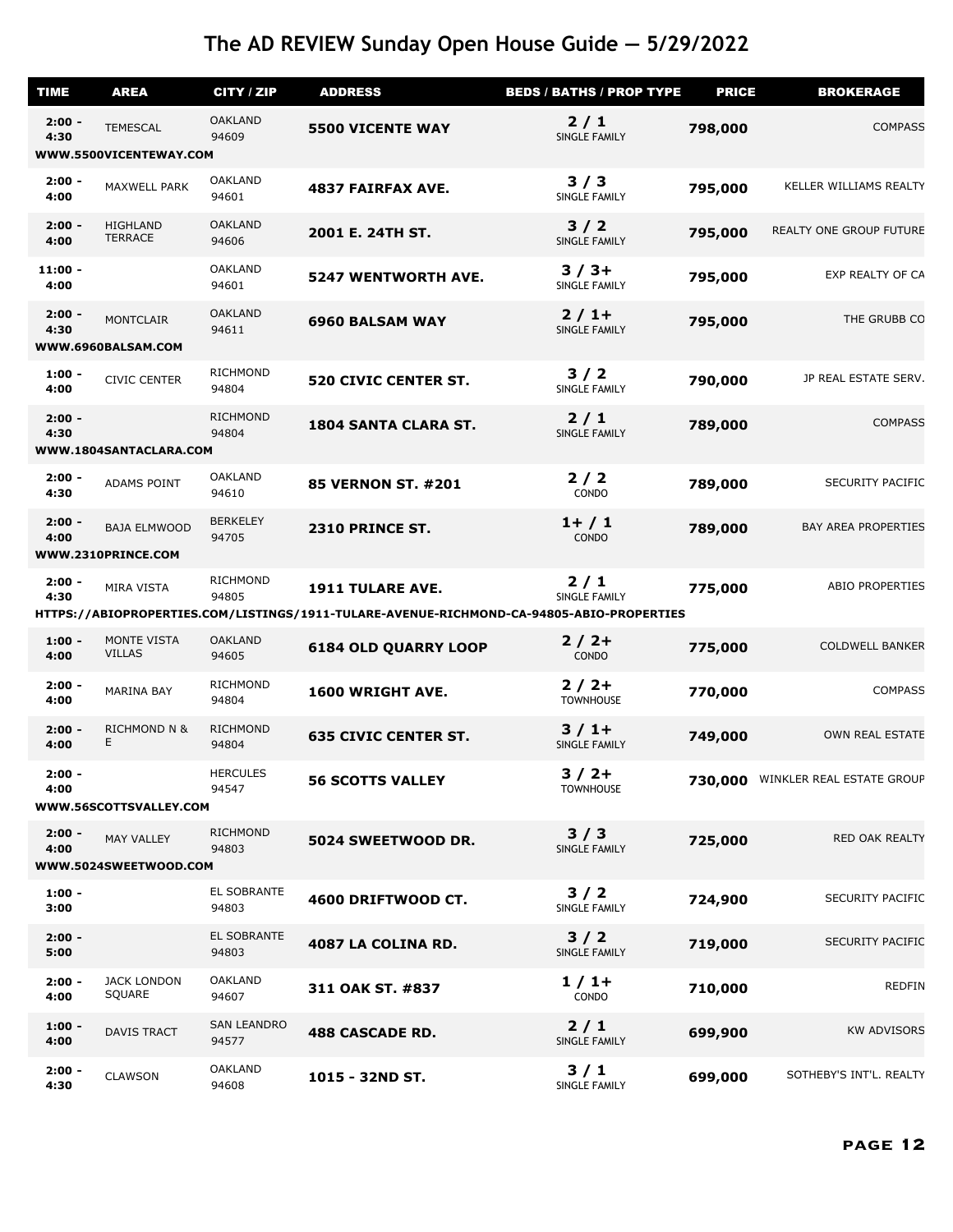| <b>TIME</b>       | <b>AREA</b>                               | CITY / ZIP                  | <b>ADDRESS</b>                                                                           | <b>BEDS / BATHS / PROP TYPE</b> | <b>PRICE</b> | <b>BROKERAGE</b>               |
|-------------------|-------------------------------------------|-----------------------------|------------------------------------------------------------------------------------------|---------------------------------|--------------|--------------------------------|
| $2:00 -$<br>4:30  | <b>TEMESCAL</b>                           | <b>OAKLAND</b><br>94609     | <b>5500 VICENTE WAY</b>                                                                  | 2/1<br>SINGLE FAMILY            | 798,000      | <b>COMPASS</b>                 |
|                   | WWW.5500VICENTEWAY.COM                    |                             |                                                                                          |                                 |              |                                |
| $2:00 -$<br>4:00  | MAXWELL PARK                              | <b>OAKLAND</b><br>94601     | <b>4837 FAIRFAX AVE.</b>                                                                 | 3/3<br>SINGLE FAMILY            | 795,000      | KELLER WILLIAMS REALTY         |
| $2:00 -$<br>4:00  | HIGHLAND<br><b>TERRACE</b>                | <b>OAKLAND</b><br>94606     | 2001 E. 24TH ST.                                                                         | $3/2$<br>SINGLE FAMILY          | 795,000      | <b>REALTY ONE GROUP FUTURE</b> |
| $11:00 -$<br>4:00 |                                           | <b>OAKLAND</b><br>94601     | <b>5247 WENTWORTH AVE.</b>                                                               | $3/3+$<br>SINGLE FAMILY         | 795,000      | EXP REALTY OF CA               |
| $2:00 -$<br>4:30  | <b>MONTCLAIR</b><br>WWW.6960BALSAM.COM    | <b>OAKLAND</b><br>94611     | <b>6960 BALSAM WAY</b>                                                                   | $2/1+$<br>SINGLE FAMILY         | 795,000      | THE GRUBB CO                   |
|                   |                                           |                             |                                                                                          |                                 |              |                                |
| $1:00 -$<br>4:00  | <b>CIVIC CENTER</b>                       | <b>RICHMOND</b><br>94804    | <b>520 CIVIC CENTER ST.</b>                                                              | 3/2<br>SINGLE FAMILY            | 790,000      | JP REAL ESTATE SERV.           |
| $2:00 -$<br>4:30  | WWW.1804SANTACLARA.COM                    | <b>RICHMOND</b><br>94804    | 1804 SANTA CLARA ST.                                                                     | $2/1$<br>SINGLE FAMILY          | 789,000      | <b>COMPASS</b>                 |
|                   |                                           |                             |                                                                                          |                                 |              |                                |
| $2:00 -$<br>4:30  | <b>ADAMS POINT</b>                        | <b>OAKLAND</b><br>94610     | <b>85 VERNON ST. #201</b>                                                                | 2/2<br>CONDO                    | 789,000      | SECURITY PACIFIC               |
| $2:00 -$<br>4:00  | <b>BAJA ELMWOOD</b><br>WWW.2310PRINCE.COM | <b>BERKELEY</b><br>94705    | 2310 PRINCE ST.                                                                          | $1+ / 1$<br>CONDO               | 789,000      | <b>BAY AREA PROPERTIES</b>     |
| $2:00 -$          | MIRA VISTA                                | <b>RICHMOND</b>             | <b>1911 TULARE AVE.</b>                                                                  | 2/1                             | 775,000      | <b>ABIO PROPERTIES</b>         |
| 4:30              |                                           | 94805                       |                                                                                          | SINGLE FAMILY                   |              |                                |
|                   |                                           |                             | HTTPS://ABIOPROPERTIES.COM/LISTINGS/1911-TULARE-AVENUE-RICHMOND-CA-94805-ABIO-PROPERTIES |                                 |              |                                |
| $1:00 -$<br>4:00  | MONTE VISTA<br><b>VILLAS</b>              | <b>OAKLAND</b><br>94605     | <b>6184 OLD QUARRY LOOP</b>                                                              | $2/2+$<br>CONDO                 | 775,000      | <b>COLDWELL BANKER</b>         |
| $2:00 -$<br>4:00  | <b>MARINA BAY</b>                         | <b>RICHMOND</b><br>94804    | 1600 WRIGHT AVE.                                                                         | $2/2+$<br><b>TOWNHOUSE</b>      | 770,000      | <b>COMPASS</b>                 |
| $2:00 -$<br>4:00  | <b>RICHMOND N &amp;</b><br>Е.             | <b>RICHMOND</b><br>94804    | <b>635 CIVIC CENTER ST.</b>                                                              | $3/1+$<br>SINGLE FAMILY         | 749,000      | OWN REAL ESTATE                |
| $2:00 -$<br>4:00  |                                           | <b>HERCULES</b><br>94547    | <b>56 SCOTTS VALLEY</b>                                                                  | $3/2+$<br><b>TOWNHOUSE</b>      | 730,000      | WINKLER REAL ESTATE GROUP      |
|                   | WWW.56SCOTTSVALLEY.COM                    |                             |                                                                                          |                                 |              |                                |
| $2:00 -$<br>4:00  | MAY VALLEY<br>WWW.5024SWEETWOOD.COM       | <b>RICHMOND</b><br>94803    | 5024 SWEETWOOD DR.                                                                       | 3/3<br>SINGLE FAMILY            | 725,000      | RED OAK REALTY                 |
|                   |                                           |                             |                                                                                          |                                 |              |                                |
| $1:00 -$<br>3:00  |                                           | EL SOBRANTE<br>94803        | 4600 DRIFTWOOD CT.                                                                       | 3/2<br>SINGLE FAMILY            | 724,900      | <b>SECURITY PACIFIC</b>        |
| $2:00 -$<br>5:00  |                                           | EL SOBRANTE<br>94803        | 4087 LA COLINA RD.                                                                       | $3/2$<br>SINGLE FAMILY          | 719,000      | <b>SECURITY PACIFIC</b>        |
| $2:00 -$<br>4:00  | <b>JACK LONDON</b><br>SQUARE              | <b>OAKLAND</b><br>94607     | 311 OAK ST. #837                                                                         | $1/1+$<br>CONDO                 | 710,000      | <b>REDFIN</b>                  |
| $1:00 -$<br>4:00  | <b>DAVIS TRACT</b>                        | <b>SAN LEANDRO</b><br>94577 | <b>488 CASCADE RD.</b>                                                                   | $2/1$<br>SINGLE FAMILY          | 699,900      | <b>KW ADVISORS</b>             |
| $2:00 -$<br>4:30  | <b>CLAWSON</b>                            | <b>OAKLAND</b><br>94608     | 1015 - 32ND ST.                                                                          | 3/1<br>SINGLE FAMILY            | 699,000      | SOTHEBY'S INT'L. REALTY        |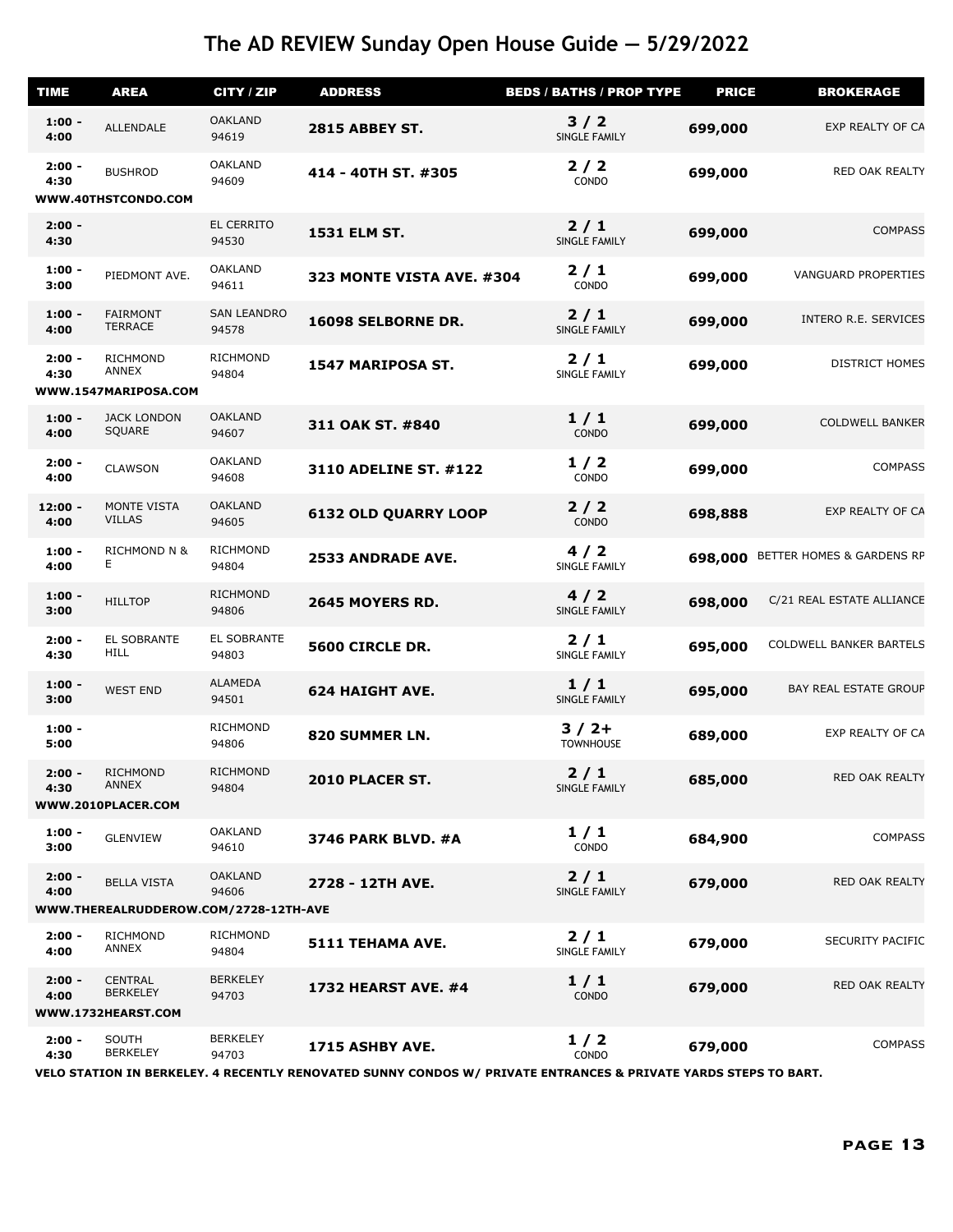| <b>TIME</b>       | <b>AREA</b>                                             | CITY / ZIP                  | <b>ADDRESS</b>                                                                                                  | <b>BEDS / BATHS / PROP TYPE</b> | <b>PRICE</b> | <b>BROKERAGE</b>               |
|-------------------|---------------------------------------------------------|-----------------------------|-----------------------------------------------------------------------------------------------------------------|---------------------------------|--------------|--------------------------------|
| $1:00 -$<br>4:00  | ALLENDALE                                               | <b>OAKLAND</b><br>94619     | <b>2815 ABBEY ST.</b>                                                                                           | 3/2<br>SINGLE FAMILY            | 699,000      | EXP REALTY OF CA               |
| $2:00 -$<br>4:30  | <b>BUSHROD</b>                                          | <b>OAKLAND</b><br>94609     | 414 - 40TH ST. #305                                                                                             | 2/2<br>CONDO                    | 699,000      | RED OAK REALTY                 |
|                   | WWW.40THSTCONDO.COM                                     |                             |                                                                                                                 |                                 |              |                                |
| $2:00 -$<br>4:30  |                                                         | EL CERRITO<br>94530         | <b>1531 ELM ST.</b>                                                                                             | $2/1$<br><b>SINGLE FAMILY</b>   | 699,000      | <b>COMPASS</b>                 |
| $1:00 -$<br>3:00  | PIEDMONT AVE.                                           | <b>OAKLAND</b><br>94611     | <b>323 MONTE VISTA AVE. #304</b>                                                                                | $2/1$<br>CONDO                  | 699,000      | <b>VANGUARD PROPERTIES</b>     |
| $1:00 -$<br>4:00  | <b>FAIRMONT</b><br><b>TERRACE</b>                       | <b>SAN LEANDRO</b><br>94578 | 16098 SELBORNE DR.                                                                                              | $2/1$<br>SINGLE FAMILY          | 699,000      | INTERO R.E. SERVICES           |
| $2:00 -$<br>4:30  | <b>RICHMOND</b><br>ANNEX<br>WWW.1547MARIPOSA.COM        | <b>RICHMOND</b><br>94804    | 1547 MARIPOSA ST.                                                                                               | $2/1$<br>SINGLE FAMILY          | 699,000      | <b>DISTRICT HOMES</b>          |
| $1:00 -$<br>4:00  | <b>JACK LONDON</b><br>SQUARE                            | <b>OAKLAND</b><br>94607     | 311 OAK ST. #840                                                                                                | 1/1<br>CONDO                    | 699,000      | <b>COLDWELL BANKER</b>         |
| $2:00 -$<br>4:00  | <b>CLAWSON</b>                                          | <b>OAKLAND</b><br>94608     | 3110 ADELINE ST. #122                                                                                           | 1/2<br>CONDO                    | 699,000      | <b>COMPASS</b>                 |
| $12:00 -$<br>4:00 | <b>MONTE VISTA</b><br><b>VILLAS</b>                     | <b>OAKLAND</b><br>94605     | <b>6132 OLD QUARRY LOOP</b>                                                                                     | 2/2<br>CONDO                    | 698,888      | EXP REALTY OF CA               |
| $1:00 -$<br>4:00  | <b>RICHMOND N &amp;</b><br>Е                            | <b>RICHMOND</b><br>94804    | <b>2533 ANDRADE AVE.</b>                                                                                        | 4/2<br>SINGLE FAMILY            | 698,000      | BETTER HOMES & GARDENS RP      |
| $1:00 -$<br>3:00  | <b>HILLTOP</b>                                          | <b>RICHMOND</b><br>94806    | 2645 MOYERS RD.                                                                                                 | 4/2<br>SINGLE FAMILY            | 698,000      | C/21 REAL ESTATE ALLIANCE      |
| $2:00 -$<br>4:30  | EL SOBRANTE<br><b>HILL</b>                              | EL SOBRANTE<br>94803        | 5600 CIRCLE DR.                                                                                                 | 2/1<br>SINGLE FAMILY            | 695,000      | <b>COLDWELL BANKER BARTELS</b> |
| $1:00 -$<br>3:00  | <b>WEST END</b>                                         | <b>ALAMEDA</b><br>94501     | <b>624 HAIGHT AVE.</b>                                                                                          | 1/1<br>SINGLE FAMILY            | 695,000      | BAY REAL ESTATE GROUP          |
| $1:00 -$<br>5:00  |                                                         | <b>RICHMOND</b><br>94806    | 820 SUMMER LN.                                                                                                  | $3/2+$<br><b>TOWNHOUSE</b>      | 689,000      | EXP REALTY OF CA               |
| $2:00 -$<br>4:30  | <b>RICHMOND</b><br><b>ANNEX</b><br>WWW.2010PLACER.COM   | <b>RICHMOND</b><br>94804    | 2010 PLACER ST.                                                                                                 | $2/1$<br>SINGLE FAMILY          | 685,000      | RED OAK REALTY                 |
| $1:00 -$<br>3:00  | <b>GLENVIEW</b>                                         | <b>OAKLAND</b><br>94610     | <b>3746 PARK BLVD. #A</b>                                                                                       | 1/1<br>CONDO                    | 684,900      | <b>COMPASS</b>                 |
| $2:00 -$<br>4:00  | <b>BELLA VISTA</b>                                      | <b>OAKLAND</b><br>94606     | 2728 - 12TH AVE.                                                                                                | $2/1$<br>SINGLE FAMILY          | 679,000      | RED OAK REALTY                 |
|                   | WWW.THEREALRUDDEROW.COM/2728-12TH-AVE                   |                             |                                                                                                                 |                                 |              |                                |
| $2:00 -$<br>4:00  | <b>RICHMOND</b><br><b>ANNEX</b>                         | <b>RICHMOND</b><br>94804    | 5111 TEHAMA AVE.                                                                                                | $2/1$<br>SINGLE FAMILY          | 679,000      | SECURITY PACIFIC               |
| $2:00 -$<br>4:00  | <b>CENTRAL</b><br><b>BERKELEY</b><br>WWW.1732HEARST.COM | <b>BERKELEY</b><br>94703    | <b>1732 HEARST AVE. #4</b>                                                                                      | 1/1<br>CONDO                    | 679,000      | RED OAK REALTY                 |
| $2:00 -$          | SOUTH                                                   | <b>BERKELEY</b>             | 1715 ASHBY AVE.                                                                                                 | 1/2                             | 679,000      | <b>COMPASS</b>                 |
| 4:30              | <b>BERKELEY</b>                                         | 94703                       | VELO STATION IN BERKELEY. 4 RECENTLY RENOVATED SUNNY CONDOS W/ PRIVATE ENTRANCES & PRIVATE YARDS STEPS TO BART. | CONDO                           |              |                                |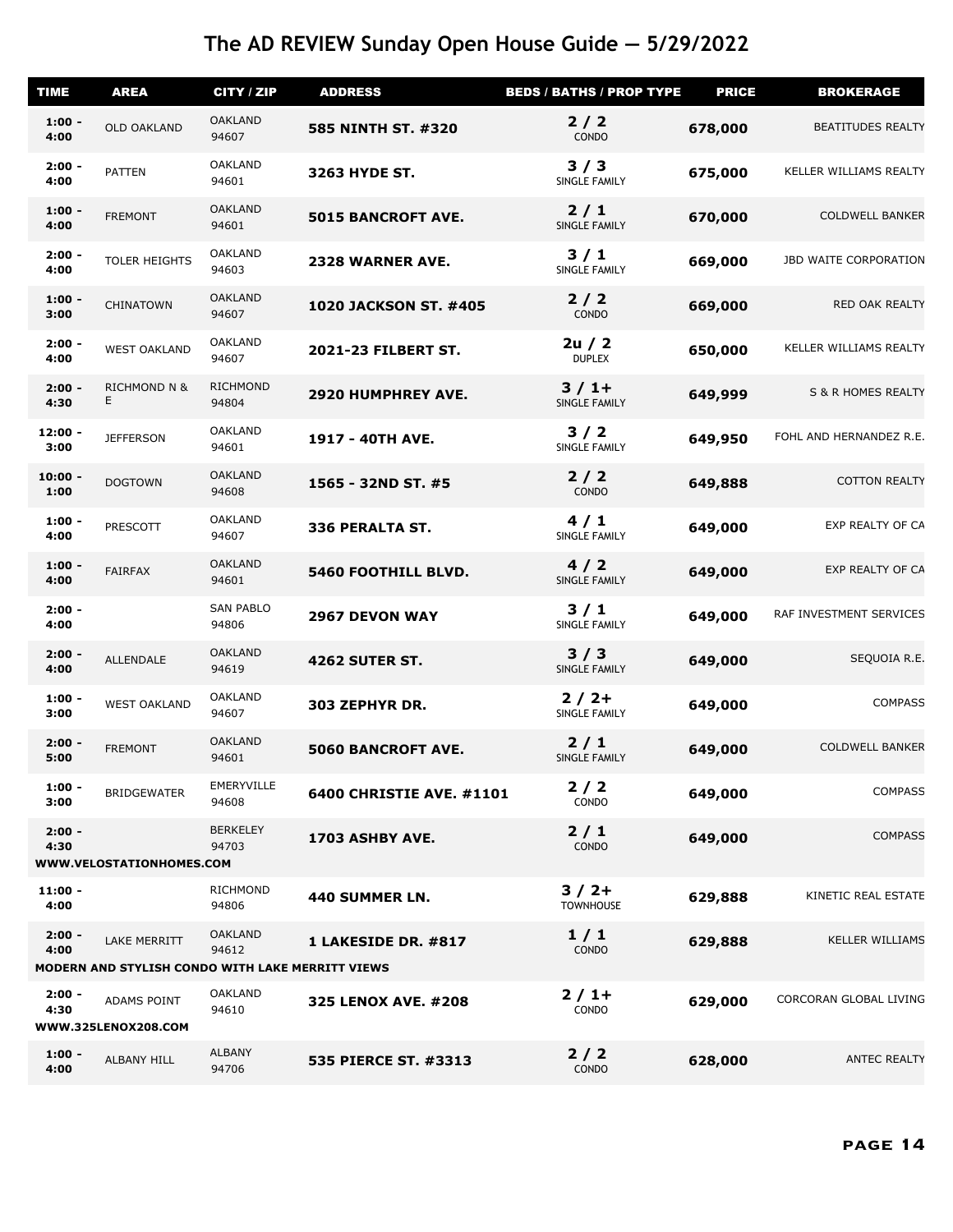| <b>TIME</b>       | <b>AREA</b>                                      | <b>CITY / ZIP</b>         | <b>ADDRESS</b>               | <b>BEDS / BATHS / PROP TYPE</b> | <b>PRICE</b> | <b>BROKERAGE</b>         |
|-------------------|--------------------------------------------------|---------------------------|------------------------------|---------------------------------|--------------|--------------------------|
| $1:00 -$<br>4:00  | <b>OLD OAKLAND</b>                               | <b>OAKLAND</b><br>94607   | 585 NINTH ST. #320           | $2/2$<br>CONDO                  | 678,000      | <b>BEATITUDES REALTY</b> |
| $2:00 -$<br>4:00  | <b>PATTEN</b>                                    | <b>OAKLAND</b><br>94601   | <b>3263 HYDE ST.</b>         | 3/3<br>SINGLE FAMILY            | 675,000      | KELLER WILLIAMS REALTY   |
| $1:00 -$<br>4:00  | <b>FREMONT</b>                                   | <b>OAKLAND</b><br>94601   | <b>5015 BANCROFT AVE.</b>    | $2/1$<br>SINGLE FAMILY          | 670,000      | <b>COLDWELL BANKER</b>   |
| $2:00 -$<br>4:00  | <b>TOLER HEIGHTS</b>                             | <b>OAKLAND</b><br>94603   | 2328 WARNER AVE.             | 3/1<br>SINGLE FAMILY            | 669,000      | JBD WAITE CORPORATION    |
| $1:00 -$<br>3:00  | CHINATOWN                                        | <b>OAKLAND</b><br>94607   | <b>1020 JACKSON ST. #405</b> | $2/2$<br>CONDO                  | 669,000      | RED OAK REALTY           |
| $2:00 -$<br>4:00  | <b>WEST OAKLAND</b>                              | <b>OAKLAND</b><br>94607   | 2021-23 FILBERT ST.          | 2u / 2<br><b>DUPLEX</b>         | 650,000      | KELLER WILLIAMS REALTY   |
| $2:00 -$<br>4:30  | <b>RICHMOND N &amp;</b><br>E.                    | <b>RICHMOND</b><br>94804  | <b>2920 HUMPHREY AVE.</b>    | $3/1+$<br>SINGLE FAMILY         | 649,999      | S & R HOMES REALTY       |
| $12:00 -$<br>3:00 | <b>JEFFERSON</b>                                 | <b>OAKLAND</b><br>94601   | 1917 - 40TH AVE.             | 3/2<br>SINGLE FAMILY            | 649,950      | FOHL AND HERNANDEZ R.E   |
| $10:00 -$<br>1:00 | <b>DOGTOWN</b>                                   | <b>OAKLAND</b><br>94608   | 1565 - 32ND ST. #5           | $2/2$<br>CONDO                  | 649,888      | <b>COTTON REALTY</b>     |
| $1:00 -$<br>4:00  | PRESCOTT                                         | <b>OAKLAND</b><br>94607   | 336 PERALTA ST.              | 4/1<br>SINGLE FAMILY            | 649,000      | EXP REALTY OF CA         |
| $1:00 -$<br>4:00  | <b>FAIRFAX</b>                                   | <b>OAKLAND</b><br>94601   | <b>5460 FOOTHILL BLVD.</b>   | 4/2<br>SINGLE FAMILY            | 649,000      | EXP REALTY OF CA         |
| $2:00 -$<br>4:00  |                                                  | <b>SAN PABLO</b><br>94806 | <b>2967 DEVON WAY</b>        | 3/1<br><b>SINGLE FAMILY</b>     | 649,000      | RAF INVESTMENT SERVICES  |
| $2:00 -$<br>4:00  | ALLENDALE                                        | <b>OAKLAND</b><br>94619   | <b>4262 SUTER ST.</b>        | 3/3<br>SINGLE FAMILY            | 649,000      | SEQUOIA R.E.             |
| $1:00 -$<br>3:00  | <b>WEST OAKLAND</b>                              | <b>OAKLAND</b><br>94607   | 303 ZEPHYR DR.               | $2/2+$<br>SINGLE FAMILY         | 649,000      | <b>COMPASS</b>           |
| $2:00 -$<br>5:00  | <b>FREMONT</b>                                   | <b>OAKLAND</b><br>94601   | <b>5060 BANCROFT AVE.</b>    | $2/1$<br>SINGLE FAMILY          | 649,000      | <b>COLDWELL BANKER</b>   |
| $1:00 -$<br>3:00  | <b>BRIDGEWATER</b>                               | EMERYVILLE<br>94608       | 6400 CHRISTIE AVE. #1101     | 2/2<br>CONDO                    | 649,000      | <b>COMPASS</b>           |
| $2:00 -$<br>4:30  | WWW.VELOSTATIONHOMES.COM                         | <b>BERKELEY</b><br>94703  | 1703 ASHBY AVE.              | $2/1$<br>CONDO                  | 649,000      | <b>COMPASS</b>           |
| $11:00 -$<br>4:00 |                                                  | <b>RICHMOND</b><br>94806  | 440 SUMMER LN.               | $3/2+$<br><b>TOWNHOUSE</b>      | 629,888      | KINETIC REAL ESTATE      |
| $2:00 -$<br>4:00  | <b>LAKE MERRITT</b>                              | <b>OAKLAND</b><br>94612   | 1 LAKESIDE DR. #817          | 1/1<br><b>CONDO</b>             | 629,888      | <b>KELLER WILLIAMS</b>   |
|                   | MODERN AND STYLISH CONDO WITH LAKE MERRITT VIEWS |                           |                              |                                 |              |                          |
| $2:00 -$<br>4:30  | ADAMS POINT<br>WWW.325LENOX208.COM               | <b>OAKLAND</b><br>94610   | 325 LENOX AVE. #208          | $2/1+$<br>CONDO                 | 629,000      | CORCORAN GLOBAL LIVING   |
| $1:00 -$<br>4:00  | ALBANY HILL                                      | <b>ALBANY</b><br>94706    | 535 PIERCE ST. #3313         | $2/2$<br>CONDO                  | 628,000      | <b>ANTEC REALTY</b>      |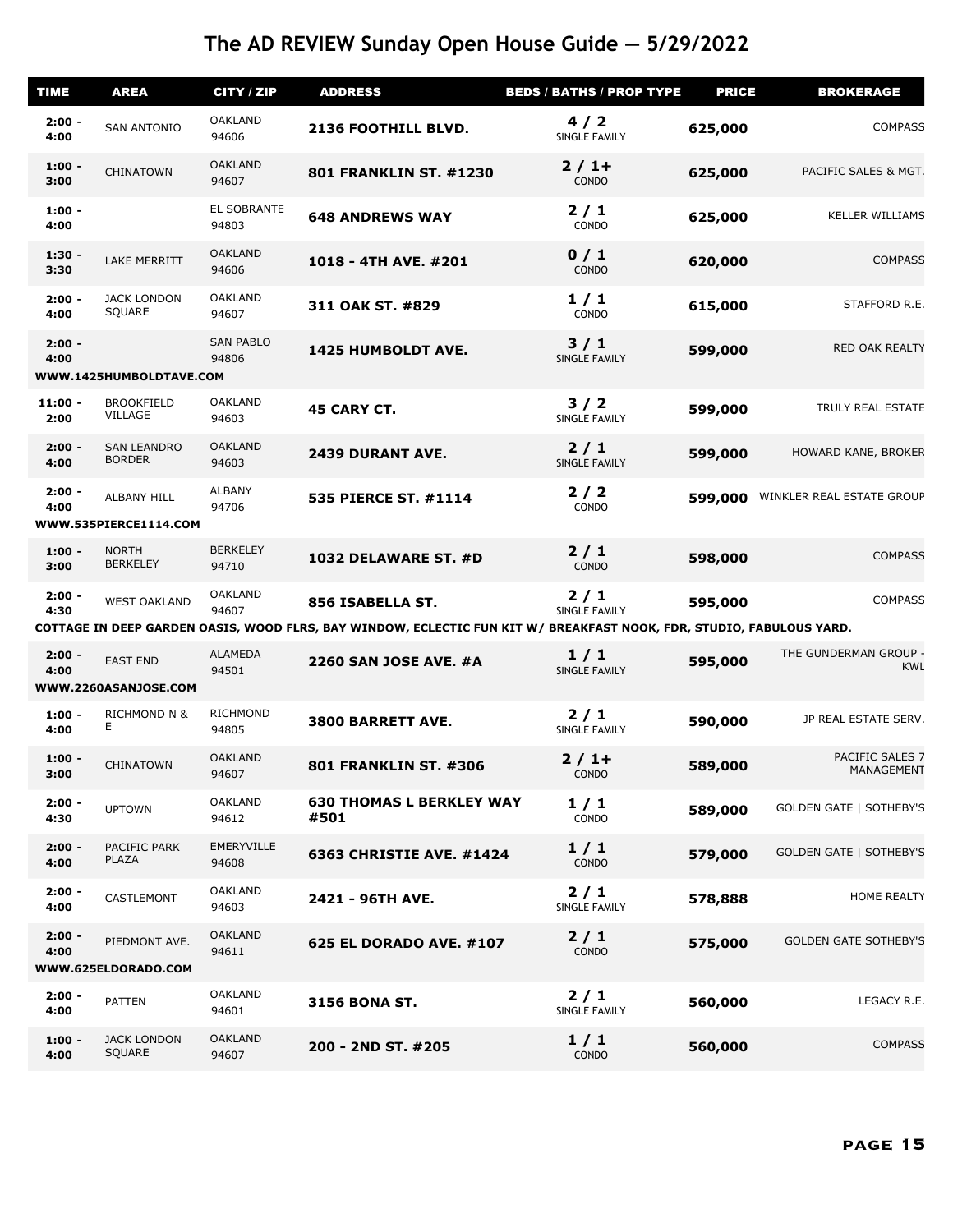| <b>TIME</b>       | <b>AREA</b>                                 | CITY / ZIP                | <b>ADDRESS</b>                                                                                                       | <b>BEDS / BATHS / PROP TYPE</b> | <b>PRICE</b> | <b>BROKERAGE</b>                    |
|-------------------|---------------------------------------------|---------------------------|----------------------------------------------------------------------------------------------------------------------|---------------------------------|--------------|-------------------------------------|
| $2:00 -$<br>4:00  | <b>SAN ANTONIO</b>                          | <b>OAKLAND</b><br>94606   | 2136 FOOTHILL BLVD.                                                                                                  | 4/2<br>SINGLE FAMILY            | 625,000      | <b>COMPASS</b>                      |
| $1:00 -$<br>3:00  | <b>CHINATOWN</b>                            | <b>OAKLAND</b><br>94607   | <b>801 FRANKLIN ST. #1230</b>                                                                                        | $2/1+$<br>CONDO                 | 625,000      | PACIFIC SALES & MGT.                |
| $1:00 -$<br>4:00  |                                             | EL SOBRANTE<br>94803      | <b>648 ANDREWS WAY</b>                                                                                               | $2/1$<br>CONDO                  | 625,000      | <b>KELLER WILLIAMS</b>              |
| $1:30 -$<br>3:30  | <b>LAKE MERRITT</b>                         | <b>OAKLAND</b><br>94606   | 1018 - 4TH AVE. #201                                                                                                 | 0/1<br>CONDO                    | 620,000      | <b>COMPASS</b>                      |
| $2:00 -$<br>4:00  | <b>JACK LONDON</b><br>SQUARE                | <b>OAKLAND</b><br>94607   | 311 OAK ST. #829                                                                                                     | 1/1<br>CONDO                    | 615,000      | STAFFORD R.E.                       |
| $2:00 -$<br>4:00  | WWW.1425HUMBOLDTAVE.COM                     | <b>SAN PABLO</b><br>94806 | 1425 HUMBOLDT AVE.                                                                                                   | 3/1<br>SINGLE FAMILY            | 599,000      | RED OAK REALTY                      |
| $11:00 -$<br>2:00 | <b>BROOKFIELD</b><br>VILLAGE                | <b>OAKLAND</b><br>94603   | <b>45 CARY CT.</b>                                                                                                   | $3/2$<br>SINGLE FAMILY          | 599,000      | TRULY REAL ESTATE                   |
| $2:00 -$<br>4:00  | <b>SAN LEANDRO</b><br><b>BORDER</b>         | <b>OAKLAND</b><br>94603   | <b>2439 DURANT AVE.</b>                                                                                              | $2/1$<br>SINGLE FAMILY          | 599,000      | HOWARD KANE, BROKER                 |
| $2:00 -$<br>4:00  | <b>ALBANY HILL</b><br>WWW.535PIERCE1114.COM | <b>ALBANY</b><br>94706    | 535 PIERCE ST. #1114                                                                                                 | 2/2<br>CONDO                    | 599,000      | WINKLER REAL ESTATE GROUP           |
| $1:00 -$<br>3:00  | <b>NORTH</b><br><b>BERKELEY</b>             | <b>BERKELEY</b><br>94710  | 1032 DELAWARE ST. #D                                                                                                 | $2/1$<br>CONDO                  | 598,000      | <b>COMPASS</b>                      |
| $2:00 -$<br>4:30  | <b>WEST OAKLAND</b>                         | <b>OAKLAND</b><br>94607   | 856 ISABELLA ST.                                                                                                     | $2/1$<br>SINGLE FAMILY          | 595,000      | <b>COMPASS</b>                      |
|                   |                                             |                           | COTTAGE IN DEEP GARDEN OASIS, WOOD FLRS, BAY WINDOW, ECLECTIC FUN KIT W/ BREAKFAST NOOK, FDR, STUDIO, FABULOUS YARD. |                                 |              |                                     |
| $2:00 -$<br>4:00  | <b>EAST END</b><br>WWW.2260ASANJOSE.COM     | <b>ALAMEDA</b><br>94501   | <b>2260 SAN JOSE AVE. #A</b>                                                                                         | 1/1<br>SINGLE FAMILY            | 595,000      | THE GUNDERMAN GROUP -<br><b>KWL</b> |
| $1:00 -$<br>4:00  | <b>RICHMOND N &amp;</b><br>Е                | <b>RICHMOND</b><br>94805  | 3800 BARRETT AVE.                                                                                                    | $2/1$<br>SINGLE FAMILY          | 590,000      | JP REAL ESTATE SERV.                |
| $1:00 -$<br>3:00  | <b>CHINATOWN</b>                            | <b>OAKLAND</b><br>94607   | <b>801 FRANKLIN ST. #306</b>                                                                                         | $2/1+$<br>CONDO                 | 589,000      | PACIFIC SALES 7<br>MANAGEMENT       |
| $2:00 -$<br>4:30  | <b>UPTOWN</b>                               | <b>OAKLAND</b><br>94612   | <b>630 THOMAS L BERKLEY WAY</b><br>#501                                                                              | 1/1<br>CONDO                    | 589,000      | <b>GOLDEN GATE   SOTHEBY'S</b>      |
| $2:00 -$<br>4:00  | PACIFIC PARK<br>PLAZA                       | EMERYVILLE<br>94608       | <b>6363 CHRISTIE AVE. #1424</b>                                                                                      | 1/1<br>CONDO                    | 579,000      | <b>GOLDEN GATE   SOTHEBY'S</b>      |
| $2:00 -$<br>4:00  | CASTLEMONT                                  | <b>OAKLAND</b><br>94603   | 2421 - 96TH AVE.                                                                                                     | 2/1<br>SINGLE FAMILY            | 578,888      | <b>HOME REALTY</b>                  |
| $2:00 -$<br>4:00  | PIEDMONT AVE.<br>WWW.625ELDORADO.COM        | <b>OAKLAND</b><br>94611   | <b>625 EL DORADO AVE. #107</b>                                                                                       | $2/1$<br>CONDO                  | 575,000      | <b>GOLDEN GATE SOTHEBY'S</b>        |
| $2:00 -$<br>4:00  | <b>PATTEN</b>                               | <b>OAKLAND</b><br>94601   | <b>3156 BONA ST.</b>                                                                                                 | $2/1$<br>SINGLE FAMILY          | 560,000      | LEGACY R.E.                         |
| $1:00 -$<br>4:00  | <b>JACK LONDON</b><br>SQUARE                | <b>OAKLAND</b><br>94607   | 200 - 2ND ST. #205                                                                                                   | 1/1<br>CONDO                    | 560,000      | <b>COMPASS</b>                      |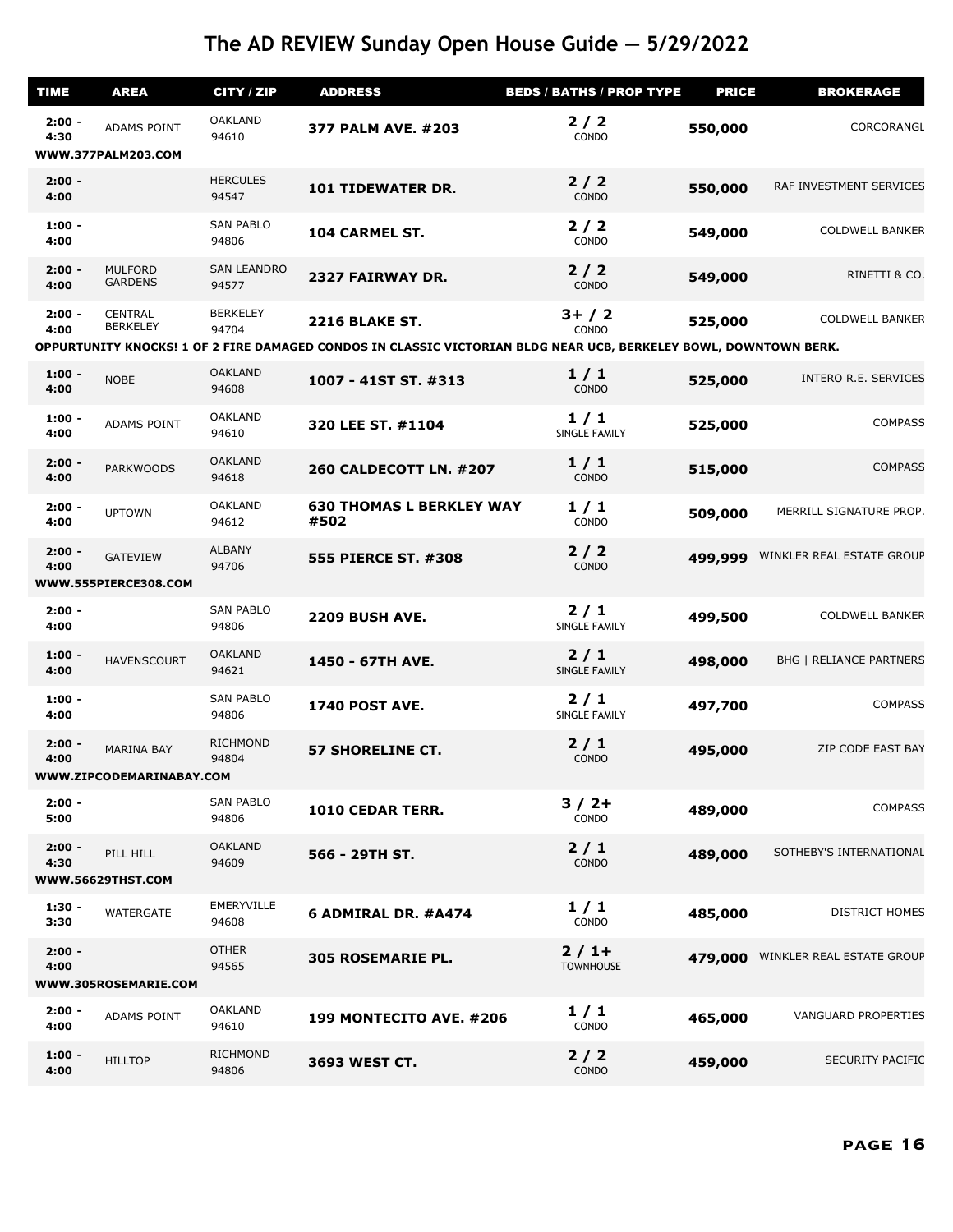| <b>TIME</b>      | <b>AREA</b>                                   | CITY / ZIP                  | <b>ADDRESS</b>                                                                                                   | <b>BEDS / BATHS / PROP TYPE</b> | <b>PRICE</b> | <b>BROKERAGE</b>               |
|------------------|-----------------------------------------------|-----------------------------|------------------------------------------------------------------------------------------------------------------|---------------------------------|--------------|--------------------------------|
| $2:00 -$<br>4:30 | ADAMS POINT                                   | <b>OAKLAND</b><br>94610     | 377 PALM AVE. #203                                                                                               | $2/2$<br>CONDO                  | 550,000      | CORCORANGL                     |
|                  | WWW.377PALM203.COM                            |                             |                                                                                                                  |                                 |              |                                |
| $2:00 -$<br>4:00 |                                               | <b>HERCULES</b><br>94547    | <b>101 TIDEWATER DR.</b>                                                                                         | 2/2<br><b>CONDO</b>             | 550,000      | RAF INVESTMENT SERVICES        |
| $1:00 -$<br>4:00 |                                               | <b>SAN PABLO</b><br>94806   | 104 CARMEL ST.                                                                                                   | 2/2<br>CONDO                    | 549,000      | <b>COLDWELL BANKER</b>         |
| $2:00 -$<br>4:00 | <b>MULFORD</b><br><b>GARDENS</b>              | <b>SAN LEANDRO</b><br>94577 | 2327 FAIRWAY DR.                                                                                                 | $2/2$<br>CONDO                  | 549,000      | RINETTI & CO.                  |
| $2:00 -$<br>4:00 | <b>CENTRAL</b><br><b>BERKELEY</b>             | <b>BERKELEY</b><br>94704    | <b>2216 BLAKE ST.</b>                                                                                            | $3+ / 2$<br><b>CONDO</b>        | 525,000      | <b>COLDWELL BANKER</b>         |
|                  |                                               |                             | OPPURTUNITY KNOCKS! 1 OF 2 FIRE DAMAGED CONDOS IN CLASSIC VICTORIAN BLDG NEAR UCB, BERKELEY BOWL, DOWNTOWN BERK. |                                 |              |                                |
| $1:00 -$<br>4:00 | <b>NOBE</b>                                   | <b>OAKLAND</b><br>94608     | 1007 - 41ST ST. #313                                                                                             | 1/1<br>CONDO                    | 525,000      | INTERO R.E. SERVICES           |
| $1:00 -$<br>4:00 | ADAMS POINT                                   | <b>OAKLAND</b><br>94610     | 320 LEE ST. #1104                                                                                                | 1/1<br>SINGLE FAMILY            | 525,000      | <b>COMPASS</b>                 |
| $2:00 -$<br>4:00 | <b>PARKWOODS</b>                              | <b>OAKLAND</b><br>94618     | <b>260 CALDECOTT LN. #207</b>                                                                                    | 1/1<br>CONDO                    | 515,000      | <b>COMPASS</b>                 |
| $2:00 -$<br>4:00 | <b>UPTOWN</b>                                 | <b>OAKLAND</b><br>94612     | <b>630 THOMAS L BERKLEY WAY</b><br>#502                                                                          | 1/1<br>CONDO                    | 509,000      | MERRILL SIGNATURE PROP.        |
| $2:00 -$<br>4:00 | <b>GATEVIEW</b><br>WWW.555PIERCE308.COM       | <b>ALBANY</b><br>94706      | <b>555 PIERCE ST. #308</b>                                                                                       | $2/2$<br><b>CONDO</b>           | 499,999      | WINKLER REAL ESTATE GROUP      |
|                  |                                               |                             |                                                                                                                  |                                 |              |                                |
| $2:00 -$<br>4:00 |                                               | <b>SAN PABLO</b><br>94806   | <b>2209 BUSH AVE.</b>                                                                                            | $2/1$<br><b>SINGLE FAMILY</b>   | 499,500      | <b>COLDWELL BANKER</b>         |
| $1:00 -$<br>4:00 | <b>HAVENSCOURT</b>                            | <b>OAKLAND</b><br>94621     | 1450 - 67TH AVE.                                                                                                 | $2/1$<br>SINGLE FAMILY          | 498,000      | <b>BHG   RELIANCE PARTNERS</b> |
| $1:00 -$<br>4:00 |                                               | <b>SAN PABLO</b><br>94806   | <b>1740 POST AVE.</b>                                                                                            | $2/1$<br>SINGLE FAMILY          | 497,700      | <b>COMPASS</b>                 |
| $2:00 -$<br>4:00 | <b>MARINA BAY</b><br>WWW.ZIPCODEMARINABAY.COM | <b>RICHMOND</b><br>94804    | <b>57 SHORELINE CT.</b>                                                                                          | $2/1$<br>CONDO                  | 495,000      | ZIP CODE EAST BAY              |
|                  |                                               |                             |                                                                                                                  |                                 |              |                                |
| $2:00 -$<br>5:00 |                                               | <b>SAN PABLO</b><br>94806   | 1010 CEDAR TERR.                                                                                                 | $3/2+$<br><b>CONDO</b>          | 489,000      | <b>COMPASS</b>                 |
| $2:00 -$<br>4:30 | PILL HILL<br>WWW.56629THST.COM                | <b>OAKLAND</b><br>94609     | 566 - 29TH ST.                                                                                                   | 2/1<br>CONDO                    | 489,000      | SOTHEBY'S INTERNATIONAL        |
| $1:30 -$<br>3:30 | WATERGATE                                     | EMERYVILLE<br>94608         | 6 ADMIRAL DR. #A474                                                                                              | 1/1<br>CONDO                    | 485,000      | <b>DISTRICT HOMES</b>          |
| $2:00 -$<br>4:00 | WWW.305ROSEMARIE.COM                          | <b>OTHER</b><br>94565       | <b>305 ROSEMARIE PL.</b>                                                                                         | $2/1+$<br><b>TOWNHOUSE</b>      | 479,000      | WINKLER REAL ESTATE GROUP      |
|                  |                                               |                             |                                                                                                                  |                                 |              |                                |
| $2:00 -$<br>4:00 | <b>ADAMS POINT</b>                            | <b>OAKLAND</b><br>94610     | 199 MONTECITO AVE. #206                                                                                          | 1/1<br>CONDO                    | 465,000      | <b>VANGUARD PROPERTIES</b>     |
| $1:00 -$<br>4:00 | <b>HILLTOP</b>                                | <b>RICHMOND</b><br>94806    | 3693 WEST CT.                                                                                                    | 2/2<br>CONDO                    | 459,000      | <b>SECURITY PACIFIC</b>        |